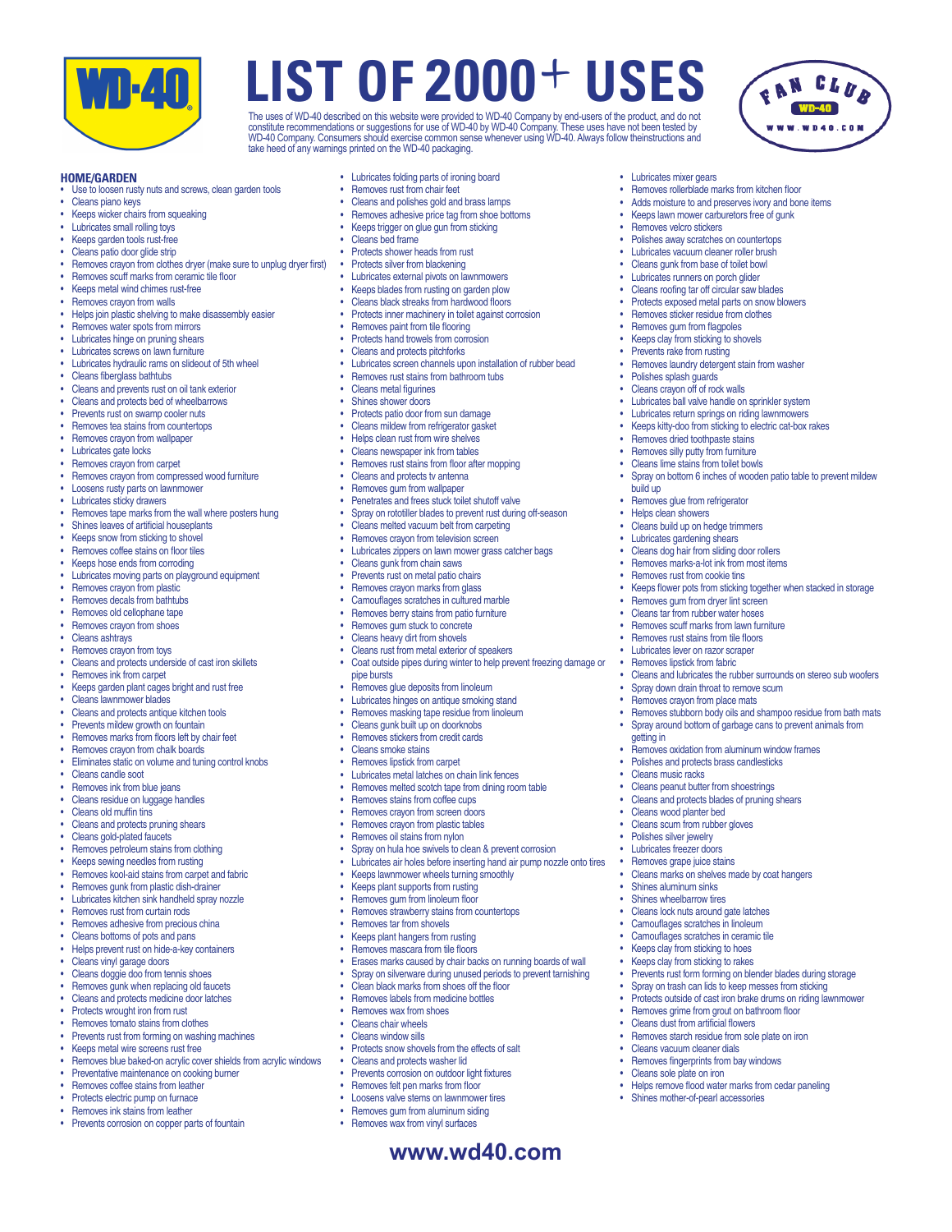

The uses of WD-40 described on this website were provided to WD-40 Company by end-users of the product, and do not<br>constitute recommendations or suggestions for use of WD-40 by WD-40 Company. These uses have not been teste take heed of any warnings printed on the WD-40 packaging.

• Lubricates mixer gears

• Removes velcro stickers

• Polishes splash guards Cleans crayon off of rock walls

build up

getting in

**Cleans music racks** 

• Cleans wood planter bed • Cleans scum from rubber gloves • Polishes silver jewelry • Lubricates freezer doors<br>• Removes grape juice sta Removes grape juice stains

Shines aluminum sinks Shines wheelbarrow tires • Cleans lock nuts around gate latches Camouflages scratches in linoleum • Camouflages scratches in ceramic tile Keeps clay from sticking to hoes Keeps clay from sticking to rakes

• Cleans vacuum cleaner dials • Removes fingerprints from bay windows • Cleans sole plate on iron

• Shines mother-of-pearl accessories

Removes rollerblade marks from kitchen floor Adds moisture to and preserves ivory and bone items Keeps lawn mower carburetors free of gunk

FAN CLUB

Removes laundry detergent stain from washer

• Lubricates ball valve handle on sprinkler system • Lubricates return springs on riding lawnmowers Keeps kitty-doo from sticking to electric cat-box rakes

• Spray on bottom 6 inches of wooden patio table to prevent mildew

Keeps flower pots from sticking together when stacked in storage

Cleans and lubricates the rubber surrounds on stereo sub woofers

• Removes stubborn body oils and shampoo residue from bath mats • Spray around bottom of garbage cans to prevent animals from

Removes dried toothpaste stains • Removes silly putty from furniture Cleans lime stains from toilet bowls

Removes glue from refrigerator • Helps clean showers • Cleans build up on hedge trimmers Lubricates gardening shears • Cleans dog hair from sliding door rollers • Removes marks-a-lot ink from most items Removes rust from cookie tins

Removes gum from dryer lint screen Cleans tar from rubber water hoses Removes scuff marks from lawn furniture Removes rust stains from tile floors **Lubricates lever on razor scraper** Removes lipstick from fabric

Spray down drain throat to remove scum Removes crayon from place mats

• Cleans peanut butter from shoestrings Cleans and protects blades of pruning shears

**Removes oxidation from aluminum window frames** • Polishes and protects brass candlesticks

Cleans marks on shelves made by coat hangers

Removes grime from grout on bathroom floor Cleans dust from artificial flowers Removes starch residue from sole plate on iron

• Helps remove flood water marks from cedar paneling

**Prevents rust form forming on blender blades during storage** Spray on trash can lids to keep messes from sticking Protects outside of cast iron brake drums on riding lawnmower

• Polishes away scratches on countertops • Lubricates vacuum cleaner roller brush Cleans gunk from base of toilet bowl • Lubricates runners on porch glider Cleans roofing tar off circular saw blades • Protects exposed metal parts on snow blowers Removes sticker residue from clothes • Removes gum from flagpoles Keeps clay from sticking to shovels • Prevents rake from rusting



- Use to loosen rusty nuts and screws, clean garden tools
- Cleans piano keys
- **Keeps wicker chairs from squeaking**
- **Lubricates small rolling toys**
- Keeps garden tools rust-free
- Cleans patio door glide strip
- Removes crayon from clothes dryer (make sure to unplug dryer first)
- Removes scuff marks from ceramic tile floor
- Keens metal wind chimes rust-free
- Removes crayon from walls
- • Helps join plastic shelving to make disassembly easier
- Removes water spots from mirrors
- **Lubricates hinge on pruning shears**
- **Lubricates screws on lawn furniture**
- • Lubricates hydraulic rams on slideout of 5th wheel
- Cleans fiberglass bathtubs
- Cleans and prevents rust on oil tank exterior
- Cleans and protects bed of wheelbarrows
- Prevents rust on swamp cooler nuts
- Removes tea stains from countertops
- Removes crayon from wallpaper
- Lubricates gate locks
- Removes crayon from carpet
- Removes crayon from compressed wood furniture
- Loosens rusty parts on lawnmower
- **Lubricates sticky drawers**
- Removes tape marks from the wall where posters hung<br>• Shines leaves of artificial housenlants
- Shines leaves of artificial houseplants
- Keeps snow from sticking to shovel
- Removes coffee stains on floor tiles
- Keeps hose ends from corroding
- Lubricates moving parts on playground equipment
- Removes crayon from plastic
- Removes decals from bathtubs
- Removes old cellophane tape
- Removes crayon from shoes
- Cleans ashtrays
- Removes crayon from toys Cleans and protects underside of cast iron skillets
- 
- Removes ink from carpet
- Keeps garden plant cages bright and rust free
- Cleans lawnmower blades
- Cleans and protects antique kitchen tools
- • Prevents mildew growth on fountain
- Removes marks from floors left by chair feet<br>• Removes crayon from chalk boards
- Removes crayon from chalk boards
- Eliminates static on volume and tuning control knobs
- Cleans candle soot
- **Removes ink from blue jeans**
- Cleans residue on luggage handles
- Cleans old muffin tins
- Cleans and protects pruning shears
- Cleans gold-plated faucets
- Removes petroleum stains from clothing
- Keeps sewing needles from rusting
- Removes kool-aid stains from carpet and fabric
- Removes gunk from plastic dish-drainer
- Lubricates kitchen sink handheld spray nozzle
- Removes rust from curtain rods
- 
- Removes adhesive from precious china<br>• Cleans bottoms of pots and pans Cleans bottoms of pots and pans
- Helps prevent rust on hide-a-key containers<br>• Cleans vinyl garage doors
- Cleans vinyl garage doors
- Cleans doggie doo from tennis shoes
- Removes gunk when replacing old faucets
- Cleans and protects medicine door latches
- 
- Protects wrought iron from rust
- Removes tomato stains from clothes
- Prevents rust from forming on washing machines
- Keeps metal wire screens rust free
- Removes blue baked-on acrylic cover shields from acrylic windows
- **Preventative maintenance on cooking burner**
- **Removes coffee stains from leather**
- Protects electric pump on furnace
- **Removes ink stains from leather**
- Prevents corrosion on copper parts of fountain
- • Lubricates folding parts of ironing board
- Removes rust from chair feet
- Cleans and polishes gold and brass lamps
- Removes adhesive price tag from shoe bottoms
- Keeps trigger on glue gun from sticking
- Cleans bed frame
- **Protects shower heads from rust**
- Protects silver from blackening
- **Lubricates external pivots on lawnmowers**
- Keens blades from rusting on garden plow
- Cleans black streaks from hardwood floors

Cleans mildew from refrigerator gasket Helps clean rust from wire shelves Cleans newspaper ink from tables Removes rust stains from floor after mopping Cleans and protects tv antenna Removes gum from wallpaper

Penetrates and frees stuck toilet shutoff valve Spray on rototiller blades to prevent rust during off-season

**Coat outside pipes during winter to help prevent freezing damage or** 

Cleans melted vacuum belt from carpeting Removes crayon from television screen **Lubricates zippers on lawn mower grass catcher bags** 

Cleans gunk from chain saws Prevents rust on metal patio chairs Removes crayon marks from glass Camouflages scratches in cultured marble Removes berry stains from patio furniture Removes gum stuck to concrete Cleans heavy dirt from shovels Cleans rust from metal exterior of speakers

Removes glue deposits from linoleum Lubricates hinges on antique smoking stand • Removes masking tape residue from linoleum Cleans gunk built up on doorknobs • Removes stickers from credit cards Cleans smoke stains • Removes lipstick from carpet

Lubricates metal latches on chain link fences • Removes melted scotch tape from dining room table

Keeps lawnmower wheels turning smoothly Keeps plant supports from rusting Removes gum from linoleum floor Removes strawberry stains from countertops

Clean black marks from shoes off the floor Removes labels from medicine bottles Removes wax from shoes **Cleans chair wheels** Cleans window sills

• Protects snow shovels from the effects of salt Cleans and protects washer lid Prevents corrosion on outdoor light fixtures **Removes felt pen marks from floor** • Loosens valve stems on lawnmower tires Removes gum from aluminum siding • Removes wax from vinyl surfaces

Spray on hula hoe swivels to clean & prevent corrosion Lubricates air holes before inserting hand air pump nozzle onto tires

Erases marks caused by chair backs on running boards of wall Spray on silverware during unused periods to prevent tarnishing

Removes stains from coffee cups Removes crayon from screen doors Removes crayon from plastic tables Removes oil stains from nylon

Removes tar from shovels Keeps plant hangers from rusting Removes mascara from tile floors

pipe bursts

- Protects inner machinery in toilet against corrosion
- Removes paint from tile flooring
- Protects hand trowels from corrosion
- Cleans and protects pitchforks
- Lubricates screen channels upon installation of rubber bead

**www.wd40.com**

- **Removes rust stains from bathroom tubs**
- **Cleans metal figurines**
- Shines shower doors Protects patio door from sun damage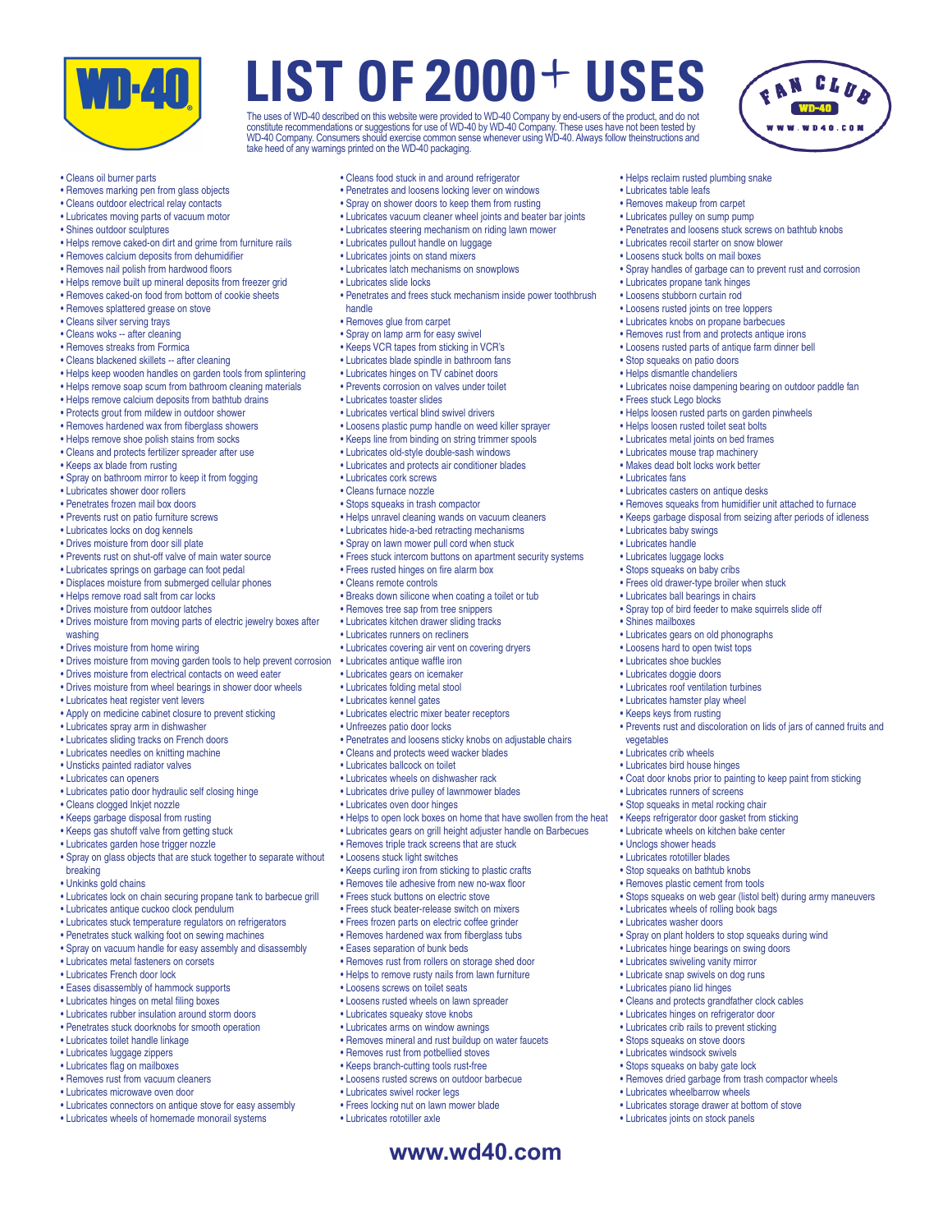

The uses of WD-40 described on this website were provided to WD-40 Company by end-users of the product, and do not<br>constitute recommendations or suggestions for use of WD-40 by WD-40 Company. These uses have not been teste take heed of any warnings printed on the WD-40 packaging.

• Helps reclaim rusted plumbing snake

• Lubricates recoil starter on snow blower • Loosens stuck bolts on mail boxes

• Lubricates propane tank hinges • Loosens stubborn curtain rod • Loosens rusted joints on tree loppers • Lubricates knobs on propane barbecues • Removes rust from and protects antique irons • Loosens rusted parts of antique farm dinner bell

• Stop squeaks on patio doors • Helps dismantle chandeliers

• Frees stuck Lego blocks

• Lubricates fans

• Lubricates baby swings • Lubricates handle • Lubricates luggage locks • Stops squeaks on baby cribs • Frees old drawer-type broiler when stuck • Lubricates ball bearings in chairs

• Shines mailboxes

vegetables • Lubricates crib wheels • Lubricates bird house hinges

• Lubricates runners of screens • Stop squeaks in metal rocking chair • Keeps refrigerator door gasket from sticking • Lubricate wheels on kitchen bake center

• Lubricates wheels of rolling book bags • Lubricates washer doors

• Unclogs shower heads • Lubricates rototiller blades • Stop squeaks on bathtub knobs • Removes plastic cement from tools

• Penetrates and loosens stuck screws on bathtub knobs

• Spray handles of garbage can to prevent rust and corrosion

• Lubricates noise dampening bearing on outdoor paddle fan

• Removes squeaks from humidifier unit attached to furnace • Keeps garbage disposal from seizing after periods of idleness

• Spray top of bird feeder to make squirrels slide off

• Prevents rust and discoloration on lids of jars of canned fruits and

• Coat door knobs prior to painting to keep paint from sticking

• Stops squeaks on web gear (listol belt) during army maneuvers

• Spray on plant holders to stop squeaks during wind • Lubricates hinge bearings on swing doors • Lubricates swiveling vanity mirror • Lubricate snap swivels on dog runs • Lubricates piano lid hinges

• Cleans and protects grandfather clock cables • Lubricates hinges on refrigerator door • Lubricates crib rails to prevent sticking • Stops squeaks on stove doors • Lubricates windsock swivels • Stops squeaks on baby gate lock

• Lubricates wheelbarrow wheels • Lubricates storage drawer at bottom of stove • Lubricates joints on stock panels

• Removes dried garbage from trash compactor wheels

• Lubricates gears on old phonographs • Loosens hard to open twist tops • Lubricates shoe buckles • Lubricates doggie doors • Lubricates roof ventilation turbines • Lubricates hamster play wheel • Keeps keys from rusting

• Helps loosen rusted parts on garden pinwheels • Helps loosen rusted toilet seat bolts • Lubricates metal joints on bed frames • Lubricates mouse trap machinery • Makes dead bolt locks work better

• Lubricates casters on antique desks

• Lubricates table leafs • Removes makeup from carpet • Lubricates pulley on sump pump

- Cleans oil burner parts
- Removes marking pen from glass objects
- Cleans outdoor electrical relay contacts
- Lubricates moving parts of vacuum motor
- Shines outdoor sculptures
- Helps remove caked-on dirt and grime from furniture rails
- Removes calcium deposits from dehumidifier
- Removes nail polish from hardwood floors
- Helps remove built up mineral deposits from freezer grid
- Removes caked-on food from bottom of cookie sheets
- Removes splattered grease on stove
- Cleans silver serving trays
- Cleans woks -- after cleaning
- Removes streaks from Formica
- Cleans blackened skillets -- after cleaning
- Helps keep wooden handles on garden tools from splintering
- Helps remove soap scum from bathroom cleaning materials
- Helps remove calcium deposits from bathtub drains
- Protects grout from mildew in outdoor shower
- Removes hardened wax from fiberglass showers
- Helps remove shoe polish stains from socks
- Cleans and protects fertilizer spreader after use
- Keeps ax blade from rusting
- Spray on bathroom mirror to keep it from fogging
- Lubricates shower door rollers
- Penetrates frozen mail box doors
- Prevents rust on patio furniture screws
- Lubricates locks on dog kennels
- Drives moisture from door sill plate
- Prevents rust on shut-off valve of main water source
- Lubricates springs on garbage can foot pedal
- Displaces moisture from submerged cellular phones
- Helps remove road salt from car locks
- Drives moisture from outdoor latches
- Drives moisture from moving parts of electric jewelry boxes after washing
- Drives moisture from home wiring
- Drives moisture from moving garden tools to help prevent corrosion
- Drives moisture from electrical contacts on weed eater
- Drives moisture from wheel bearings in shower door wheels
- Lubricates heat register vent levers
- Apply on medicine cabinet closure to prevent sticking
- Lubricates spray arm in dishwasher
- Lubricates sliding tracks on French doors
- Lubricates needles on knitting machine
- Unsticks painted radiator valves
- Lubricates can openers
- Lubricates patio door hydraulic self closing hinge
- Cleans clogged Inkjet nozzle
- Keeps garbage disposal from rusting
- Keeps gas shutoff valve from getting stuck
- Lubricates garden hose trigger nozzle
- Spray on glass objects that are stuck together to separate without
- breaking
- Unkinks gold chains
- Lubricates lock on chain securing propane tank to barbecue grill
- Lubricates antique cuckoo clock pendulum
- Lubricates stuck temperature regulators on refrigerators
- Penetrates stuck walking foot on sewing machines
- Spray on vacuum handle for easy assembly and disassembly
- Lubricates metal fasteners on corsets
- Lubricates French door lock
- Eases disassembly of hammock supports
- Lubricates hinges on metal filing boxes
- Lubricates rubber insulation around storm doors
- Penetrates stuck doorknobs for smooth operation
- Lubricates toilet handle linkage
- 
- Lubricates luggage zippers • Lubricates flag on mailboxes
- Removes rust from vacuum cleaners
- Lubricates microwave oven door
- Lubricates connectors on antique stove for easy assembly
- Lubricates wheels of homemade monorail systems
- Cleans food stuck in and around refrigerator
- Penetrates and loosens locking lever on windows
- Spray on shower doors to keep them from rusting
- Lubricates vacuum cleaner wheel joints and beater bar joints
- Lubricates steering mechanism on riding lawn mower
- Lubricates pullout handle on luggage
- Lubricates joints on stand mixers
- Lubricates latch mechanisms on snowplows
- Lubricates slide locks
- Penetrates and frees stuck mechanism inside power toothbrush handle
- Removes glue from carpet
- Spray on lamp arm for easy swivel
- Keeps VCR tapes from sticking in VCR's
- Lubricates blade spindle in bathroom fans
- Lubricates hinges on TV cabinet doors
- Prevents corrosion on valves under toilet
- Lubricates toaster slides
- Lubricates vertical blind swivel drivers
- Loosens plastic pump handle on weed killer sprayer
- 

• Helps unravel cleaning wands on vacuum cleaners • Lubricates hide-a-bed retracting mechanisms • Spray on lawn mower pull cord when stuck

• Breaks down silicone when coating a toilet or tub • Removes tree sap from tree snippers • Lubricates kitchen drawer sliding tracks • Lubricates runners on recliners

• Lubricates covering air vent on covering dryers

• Lubricates electric mixer beater receptors

• Cleans and protects weed wacker blades • Lubricates ballcock on toilet • Lubricates wheels on dishwasher rack • Lubricates drive pulley of lawnmower blades

• Removes triple track screens that are stuck

• Keeps curling iron from sticking to plastic crafts • Removes tile adhesive from new no-wax floor • Frees stuck buttons on electric stove • Frees stuck beater-release switch on mixers • Frees frozen parts on electric coffee grinder • Removes hardened wax from fiberglass tubs • Eases separation of bunk beds

• Removes rust from rollers on storage shed door • Helps to remove rusty nails from lawn furniture

• Removes mineral and rust buildup on water faucets

• Penetrates and loosens sticky knobs on adjustable chairs

• Helps to open lock boxes on home that have swollen from the heat • Lubricates gears on grill height adjuster handle on Barbecues

• Frees stuck intercom buttons on apartment security systems

**www.wd40.com**

- Keeps line from binding on string trimmer spools • Lubricates old-style double-sash windows
- Lubricates and protects air conditioner blades
- Lubricates cork screws

• Frees rusted hinges on fire alarm box • Cleans remote controls

• Lubricates antique waffle iron • Lubricates gears on icemaker • Lubricates folding metal stool • Lubricates kennel gates

• Unfreezes patio door locks

• Lubricates oven door hinges

• Loosens stuck light switches

• Loosens screws on toilet seats • Loosens rusted wheels on lawn spreader • Lubricates squeaky stove knobs • Lubricates arms on window awnings

• Removes rust from potbellied stoves • Keeps branch-cutting tools rust-free • Loosens rusted screws on outdoor barbecue

• Lubricates swivel rocker legs • Frees locking nut on lawn mower blade

• Lubricates rototiller axle

- 
- Cleans furnace nozzle • Stops squeaks in trash compactor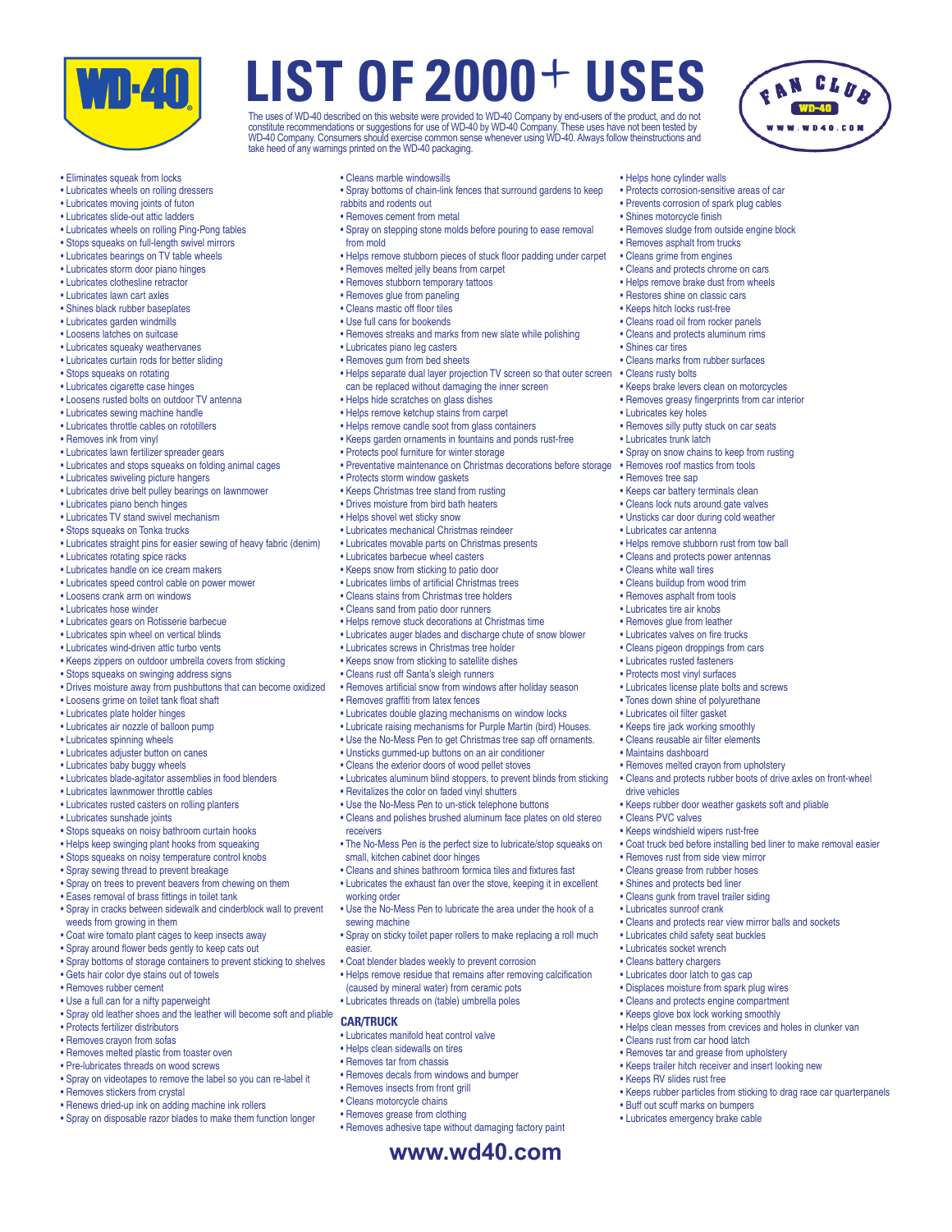

- Eliminates squeak from locks
- Lubricates wheels on rolling dressers
- Lubricates moving joints of futon
- Lubricates slide-out attic ladders
- Lubricates wheels on rolling Ping-Pong tables
- Stops squeaks on full-length swivel mirrors
- Lubricates bearings on TV table wheels
- Lubricates storm door piano hinges
- Lubricates clothesline retractor
- Lubricates lawn cart axles
- Shines black rubber baseplates
- Lubricates garden windmills
- Loosens latches on suitcase
- Lubricates squeaky weathervanes
- Lubricates curtain rods for better sliding
- Stops squeaks on rotating
- Lubricates cigarette case hinges
- Loosens rusted bolts on outdoor TV antenna
- Lubricates sewing machine handle
- Lubricates throttle cables on rototillers
- Removes ink from vinyl
- Lubricates lawn fertilizer spreader gears
- Lubricates and stops squeaks on folding animal cages
- Lubricates swiveling picture hangers
- Lubricates drive belt pulley bearings on lawnmower
- Lubricates piano bench hinges
- Lubricates TV stand swivel mechanism
- Stops squeaks on Tonka trucks
- Lubricates straight pins for easier sewing of heavy fabric (denim)
- Lubricates rotating spice racks
- Lubricates handle on ice cream makers
- Lubricates speed control cable on power mower
- Loosens crank arm on windows
- Lubricates hose winder
- Lubricates gears on Rotisserie barbecue
- Lubricates spin wheel on vertical blinds
- Lubricates wind-driven attic turbo vents
- Keeps zippers on outdoor umbrella covers from sticking
- Stops squeaks on swinging address signs
- Drives moisture away from pushbuttons that can become oxidized
- Loosens grime on toilet tank float shaft
- Lubricates plate holder hinges
- Lubricates air nozzle of balloon pump
- Lubricates spinning wheels
- Lubricates adjuster button on canes
- Lubricates baby buggy wheels
- Lubricates blade-agitator assemblies in food blenders
- Lubricates lawnmower throttle cables
- Lubricates rusted casters on rolling planters
- Lubricates sunshade joints
- Stops squeaks on noisy bathroom curtain hooks
- Helps keep swinging plant hooks from squeaking
- 
- Stops squeaks on noisy temperature control knobs • Spray sewing thread to prevent breakage
- 
- Spray on trees to prevent beavers from chewing on them
- Eases removal of brass fittings in toilet tank
- Spray in cracks between sidewalk and cinderblock wall to prevent weeds from growing in them
- Coat wire tomato plant cages to keep insects away
- Spray around flower beds gently to keep cats out
- Spray bottoms of storage containers to prevent sticking to shelves
- Gets hair color dye stains out of towels
- Removes rubber cement
- Use a full can for a nifty paperweight
- Spray old leather shoes and the leather will become soft and pliable
- Protects fertilizer distributors
- Removes crayon from sofas
- Removes melted plastic from toaster oven
- Pre-lubricates threads on wood screws
- Spray on videotapes to remove the label so you can re-label it
- Removes stickers from crystal
- Renews dried-up ink on adding machine ink rollers
- Spray on disposable razor blades to make them function longer

• Cleans marble windowsills

take heed of any warnings printed on the WD-40 packaging.

• Spray bottoms of chain-link fences that surround gardens to keep rabbits and rodents out

**LIST OF 2000** + **USES**

The uses of WD-40 described on this website were provided to WD-40 Company by end-users of the product, and do not<br>constitute recommendations or suggestions for use of WD-40 by WD-40 Company. These uses have not been teste

• Helps hone cylinder walls • Protects corrosion-sensitive areas of car • Prevents corrosion of spark plug cables

• Shines motorcycle finish

• Shines car tires

• Cleans rusty bolts

• Lubricates key holes

• Lubricates trunk latch

• Cleans white wall tires • Cleans buildup from wood trim • Removes asphalt from tools • Lubricates tire air knobs • Removes glue from leather • Lubricates valves on fire trucks • Cleans pigeon droppings from cars • Lubricates rusted fasteners • Protects most vinyl surfaces • Lubricates license plate bolts and screws • Tones down shine of polyurethane • Lubricates oil filter gasket • Keeps tire jack working smoothly • Cleans reusable air filter elements • Maintains dashboard

• Cleans marks from rubber surfaces

• Keeps brake levers clean on motorcycles • Removes greasy fingerprints from car interior

• Removes silly putty stuck on car seats

• Keeps car battery terminals clean • Cleans lock nuts around gate valves • Unsticks car door during cold weather • Lubricates car antenna

• Spray on snow chains to keep from rusting • Removes roof mastics from tools • Removes tree sap

• Helps remove stubborn rust from tow ball • Cleans and protects power antennas

• Removes melted crayon from upholstery

• Removes rust from side view mirror • Cleans grease from rubber hoses • Shines and protects bed liner • Cleans gunk from travel trailer siding • Lubricates sunroof crank

• Lubricates child safety seat buckles • Lubricates socket wrench • Cleans battery chargers • Lubricates door latch to gas cap • Displaces moisture from spark plug wires • Cleans and protects engine compartment • Keeps glove box lock working smoothly

• Cleans rust from car hood latch • Removes tar and grease from upholstery • Keeps trailer hitch receiver and insert looking new

• Buff out scuff marks on bumpers • Lubricates emergency brake cable

• Keeps RV slides rust free

drive vehicles

• Cleans PVC valves • Keeps windshield wipers rust-free

• Cleans and protects rubber boots of drive axles on front-wheel

• Coat truck bed before installing bed liner to make removal easier

• Keeps rubber door weather gaskets soft and pliable

• Cleans and protects rear view mirror balls and sockets

• Helps clean messes from crevices and holes in clunker van

• Keeps rubber particles from sticking to drag race car quarterpanels

• Removes sludge from outside engine block • Removes asphalt from trucks • Cleans grime from engines • Cleans and protects chrome on cars • Helps remove brake dust from wheels • Restores shine on classic cars • Keeps hitch locks rust-free • Cleans road oil from rocker panels • Cleans and protects aluminum rims

- Removes cement from metal
- 
- Spray on stepping stone molds before pouring to ease removal from mold
- Helps remove stubborn pieces of stuck floor padding under carpet
- Removes melted jelly beans from carpet
- Removes stubborn temporary tattoos
- Removes glue from paneling
- Cleans mastic off floor tiles
- Use full cans for bookends
- Removes streaks and marks from new slate while polishing
- Lubricates piano leg casters
- Removes gum from bed sheets
- Helps separate dual layer projection TV screen so that outer screen can be replaced without damaging the inner screen
- Helps hide scratches on glass dishes
- Helps remove ketchup stains from carpet
- Helps remove candle soot from glass containers
- Keeps garden ornaments in fountains and ponds rust-free
- Protects pool furniture for winter storage
- Preventative maintenance on Christmas decorations before storage

**www.wd40.com**

• Removes adhesive tape without damaging factory paint

- Protects storm window gaskets
- Keeps Christmas tree stand from rusting
- Drives moisture from bird bath heaters
- Helps shovel wet sticky snow
- Lubricates mechanical Christmas reindeer

• Lubricates screws in Christmas tree holder • Keeps snow from sticking to satellite dishes • Cleans rust off Santa's sleigh runners

• Revitalizes the color on faded vinyl shutters • Use the No-Mess Pen to un-stick telephone buttons • Cleans and polishes brushed aluminum face plates on old stereo

small, kitchen cabinet door hinges

receivers

working order

sewing machine

easier.

**CAR/TRUCK**

• Removes graffiti from latex fences

• Removes artificial snow from windows after holiday season

• Lubricates aluminum blind stoppers, to prevent blinds from sticking

• The No-Mess Pen is the perfect size to lubricate/stop squeaks on

• Cleans and shines bathroom formica tiles and fixtures fast • Lubricates the exhaust fan over the stove, keeping it in excellent

• Use the No-Mess Pen to lubricate the area under the hook of a

• Spray on sticky toilet paper rollers to make replacing a roll much

• Helps remove residue that remains after removing calcification

• Coat blender blades weekly to prevent corrosion

(caused by mineral water) from ceramic pots • Lubricates threads on (table) umbrella poles

• Lubricates manifold heat control valve • Helps clean sidewalls on tires • Removes tar from chassis

• Removes decals from windows and bumper • Removes insects from front grill • Cleans motorcycle chains • Removes grease from clothing

• Lubricates double glazing mechanisms on window locks • Lubricate raising mechanisms for Purple Martin (bird) Houses. • Use the No-Mess Pen to get Christmas tree sap off ornaments. • Unsticks gummed-up buttons on an air conditioner • Cleans the exterior doors of wood pellet stoves

• Lubricates movable parts on Christmas presents • Lubricates barbecue wheel casters • Keeps snow from sticking to patio door • Lubricates limbs of artificial Christmas trees • Cleans stains from Christmas tree holders • Cleans sand from patio door runners • Helps remove stuck decorations at Christmas time • Lubricates auger blades and discharge chute of snow blower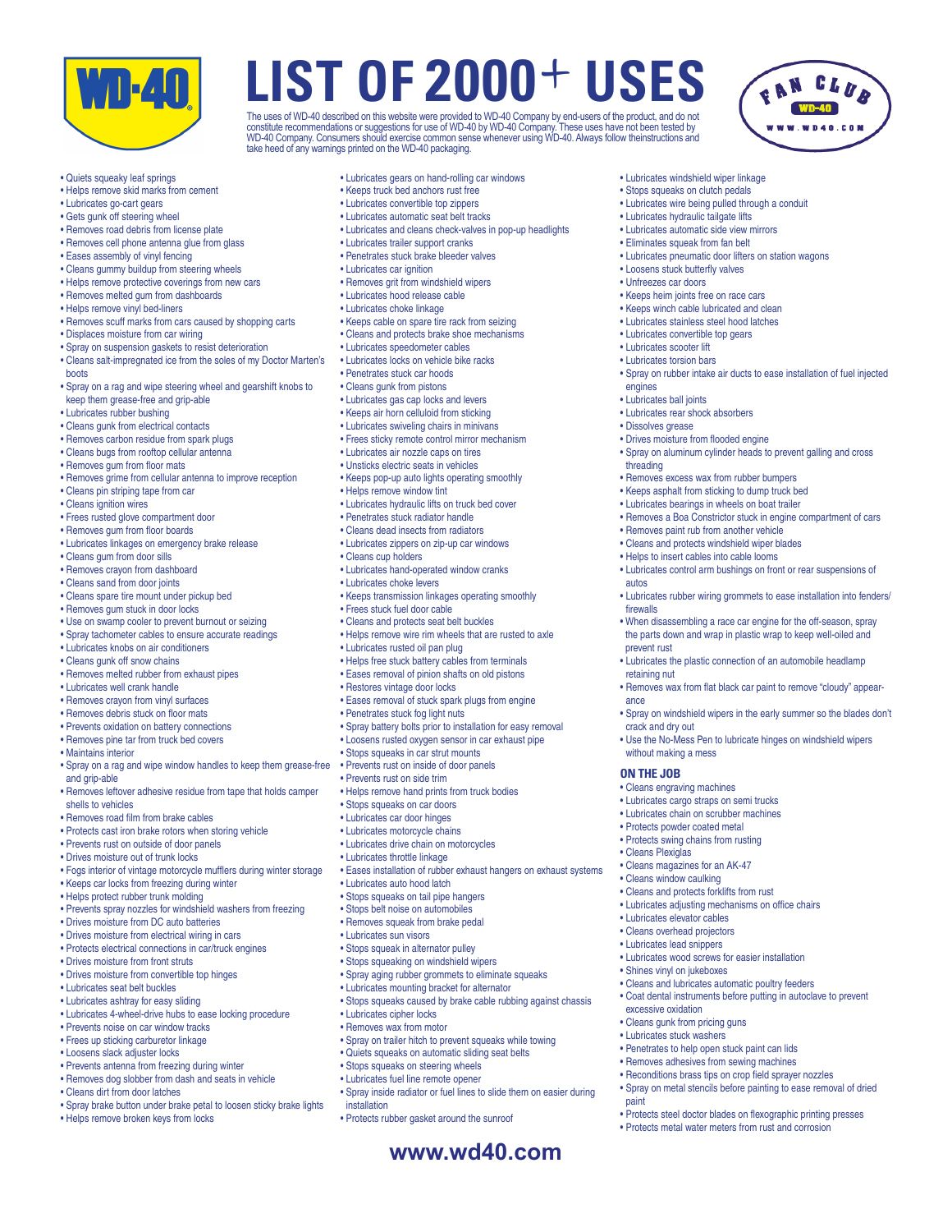

The uses of WD-40 described on this website were provided to WD-40 Company by end-users of the product, and do not<br>constitute recommendations or suggestions for use of WD-40 by WD-40 Company. These uses have not been teste take heed of any warnings printed on the WD-40 packaging.

> • Lubricates windshield wiper linkage • Stops squeaks on clutch pedals

• Loosens stuck butterfly valves • Unfreezes car doors

engines • Lubricates ball joints • Lubricates rear shock absorbers

threading

autos

firewalls

prevent rust

retaining nut

crack and dry out

• Cleans Plexiglas

without making a mess **ON THE JOB**

• Cleans engraving machines • Lubricates cargo straps on semi trucks • Lubricates chain on scrubber machines • Protects powder coated metal • Protects swing chains from rusting

• Cleans magazines for an AK-47 • Cleans window caulking • Cleans and protects forklifts from rust • Lubricates adjusting mechanisms on office chairs

• Lubricates wood screws for easier installation

• Penetrates to help open stuck paint can lids • Removes adhesives from sewing machines • Reconditions brass tips on crop field sprayer nozzles • Spray on metal stencils before painting to ease removal of dried

• Protects steel doctor blades on flexographic printing presses • Protects metal water meters from rust and corrosion

• Cleans and lubricates automatic poultry feeders • Coat dental instruments before putting in autoclave to prevent

• Lubricates elevator cables • Cleans overhead projectors • Lubricates lead snippers

• Shines vinyl on jukeboxes

excessive oxidation • Cleans gunk from pricing guns • Lubricates stuck washers

paint

ance

• Dissolves grease

• Keeps heim joints free on race cars • Keeps winch cable lubricated and clean • Lubricates stainless steel hood latches • Lubricates convertible top gears • Lubricates scooter lift • Lubricates torsion bars

• Drives moisture from flooded engine

• Removes excess wax from rubber bumpers • Keeps asphalt from sticking to dump truck bed • Lubricates bearings in wheels on boat trailer

• Removes paint rub from another vehicle • Cleans and protects windshield wiper blades • Helps to insert cables into cable looms

• Lubricates wire being pulled through a conduit • Lubricates hydraulic tailgate lifts • Lubricates automatic side view mirrors • Eliminates squeak from fan belt

• Lubricates pneumatic door lifters on station wagons

• Spray on rubber intake air ducts to ease installation of fuel injected

CLUB

• Spray on aluminum cylinder heads to prevent galling and cross

• Removes a Boa Constrictor stuck in engine compartment of cars

• Lubricates control arm bushings on front or rear suspensions of

• When disassembling a race car engine for the off-season, spray the parts down and wrap in plastic wrap to keep well-oiled and

• Lubricates the plastic connection of an automobile headlamp

• Removes wax from flat black car paint to remove "cloudy" appear-

• Spray on windshield wipers in the early summer so the blades don't

• Use the No-Mess Pen to lubricate hinges on windshield wipers

• Lubricates rubber wiring grommets to ease installation into fenders/



- Helps remove skid marks from cement
- Lubricates go-cart gears
- Gets gunk off steering wheel
- Removes road debris from license plate
- Removes cell phone antenna glue from glass
- Eases assembly of vinyl fencing
- Cleans gummy buildup from steering wheels
- Helps remove protective coverings from new cars
- Removes melted gum from dashboards
- Helps remove vinyl bed-liners
- Removes scuff marks from cars caused by shopping carts
- Displaces moisture from car wiring
- Spray on suspension gaskets to resist deterioration
- Cleans salt-impregnated ice from the soles of my Doctor Marten's boots
- Spray on a rag and wipe steering wheel and gearshift knobs to keep them grease-free and grip-able
- Lubricates rubber bushing
- Cleans gunk from electrical contacts
- Removes carbon residue from spark plugs
- Cleans bugs from rooftop cellular antenna
- Removes gum from floor mats
- Removes grime from cellular antenna to improve reception
- Cleans pin striping tape from car
- Cleans ignition wires
- Frees rusted glove compartment door
- Removes gum from floor boards
- Lubricates linkages on emergency brake release
- Cleans gum from door sills
- Removes crayon from dashboard
- Cleans sand from door joints
- Cleans spare tire mount under pickup bed
- Removes gum stuck in door locks
- Use on swamp cooler to prevent burnout or seizing
- Spray tachometer cables to ensure accurate readings
- Lubricates knobs on air conditioners
- Cleans gunk off snow chains
- Removes melted rubber from exhaust pipes
- Lubricates well crank handle
- Removes crayon from vinyl surfaces
- Removes debris stuck on floor mats
- Prevents oxidation on battery connections
- Removes pine tar from truck bed covers
- Maintains interior
- Spray on a rag and wipe window handles to keep them grease-free and grip-able
- Removes leftover adhesive residue from tape that holds camper shells to vehicles
- Removes road film from brake cables
- Protects cast iron brake rotors when storing vehicle
- Prevents rust on outside of door panels
- Drives moisture out of trunk locks
- Fogs interior of vintage motorcycle mufflers during winter storage
- Keeps car locks from freezing during winter
- Helps protect rubber trunk molding
- 
- Prevents spray nozzles for windshield washers from freezing
- Drives moisture from DC auto batteries
- Drives moisture from electrical wiring in cars
- Protects electrical connections in car/truck engines
- Drives moisture from front struts
- Drives moisture from convertible top hinges
- Lubricates seat belt buckles
- Lubricates ashtray for easy sliding
- Lubricates 4-wheel-drive hubs to ease locking procedure
- Prevents noise on car window tracks
- Frees up sticking carburetor linkage
- Loosens slack adjuster locks
- Prevents antenna from freezing during winter
- Removes dog slobber from dash and seats in vehicle
- Cleans dirt from door latches
- Spray brake button under brake petal to loosen sticky brake lights
- Helps remove broken keys from locks
- Lubricates gears on hand-rolling car windows
- Keeps truck bed anchors rust free
- Lubricates convertible top zippers
- Lubricates automatic seat belt tracks
- Lubricates and cleans check-valves in pop-up headlights
- Lubricates trailer support cranks
- Penetrates stuck brake bleeder valves
- Lubricates car ignition
- Removes grit from windshield wipers
- Lubricates hood release cable
- Lubricates choke linkage
- Keeps cable on spare tire rack from seizing
- Cleans and protects brake shoe mechanisms
- Lubricates speedometer cables
- Lubricates locks on vehicle bike racks
- Penetrates stuck car hoods
- Cleans gunk from pistons
- Lubricates gas cap locks and levers
- Keeps air horn celluloid from sticking
- Lubricates swiveling chairs in minivans
- Frees sticky remote control mirror mechanism
- Lubricates air nozzle caps on tires
- Unsticks electric seats in vehicles
- Keeps pop-up auto lights operating smoothly
- Helps remove window tint
- Lubricates hydraulic lifts on truck bed cover

• Lubricates zippers on zip-up car windows

• Lubricates hand-operated window cranks

• Keeps transmission linkages operating smoothly

• Helps free stuck battery cables from terminals • Eases removal of pinion shafts on old pistons

• Eases removal of stuck spark plugs from engine

• Spray battery bolts prior to installation for easy removal • Loosens rusted oxygen sensor in car exhaust pipe

• Eases installation of rubber exhaust hangers on exhaust systems

• Stops squeaks caused by brake cable rubbing against chassis

• Spray on trailer hitch to prevent squeaks while towing • Quiets squeaks on automatic sliding seat belts • Stops squeaks on steering wheels • Lubricates fuel line remote opener

• Protects rubber gasket around the sunroof

• Helps remove wire rim wheels that are rusted to axle

**www.wd40.com**

• Spray inside radiator or fuel lines to slide them on easier during

• Penetrates stuck radiator handle • Cleans dead insects from radiators

• Cleans cup holders

• Lubricates choke levers

• Frees stuck fuel door cable • Cleans and protects seat belt buckles

• Lubricates rusted oil pan plug

• Restores vintage door locks

• Penetrates stuck fog light nuts

• Stops squeaks on car doors • Lubricates car door hinges • Lubricates motorcycle chains • Lubricates drive chain on motorcycles • Lubricates throttle linkage

• Lubricates auto hood latch • Stops squeaks on tail pipe hangers • Stops belt noise on automobiles • Removes squeak from brake pedal • Lubricates sun visors • Stops squeak in alternator pulley • Stops squeaking on windshield wipers • Spray aging rubber grommets to eliminate squeaks • Lubricates mounting bracket for alternator

• Lubricates cipher locks • Removes wax from motor

installation

• Stops squeaks in car strut mounts • Prevents rust on inside of door panels • Prevents rust on side trim

• Helps remove hand prints from truck bodies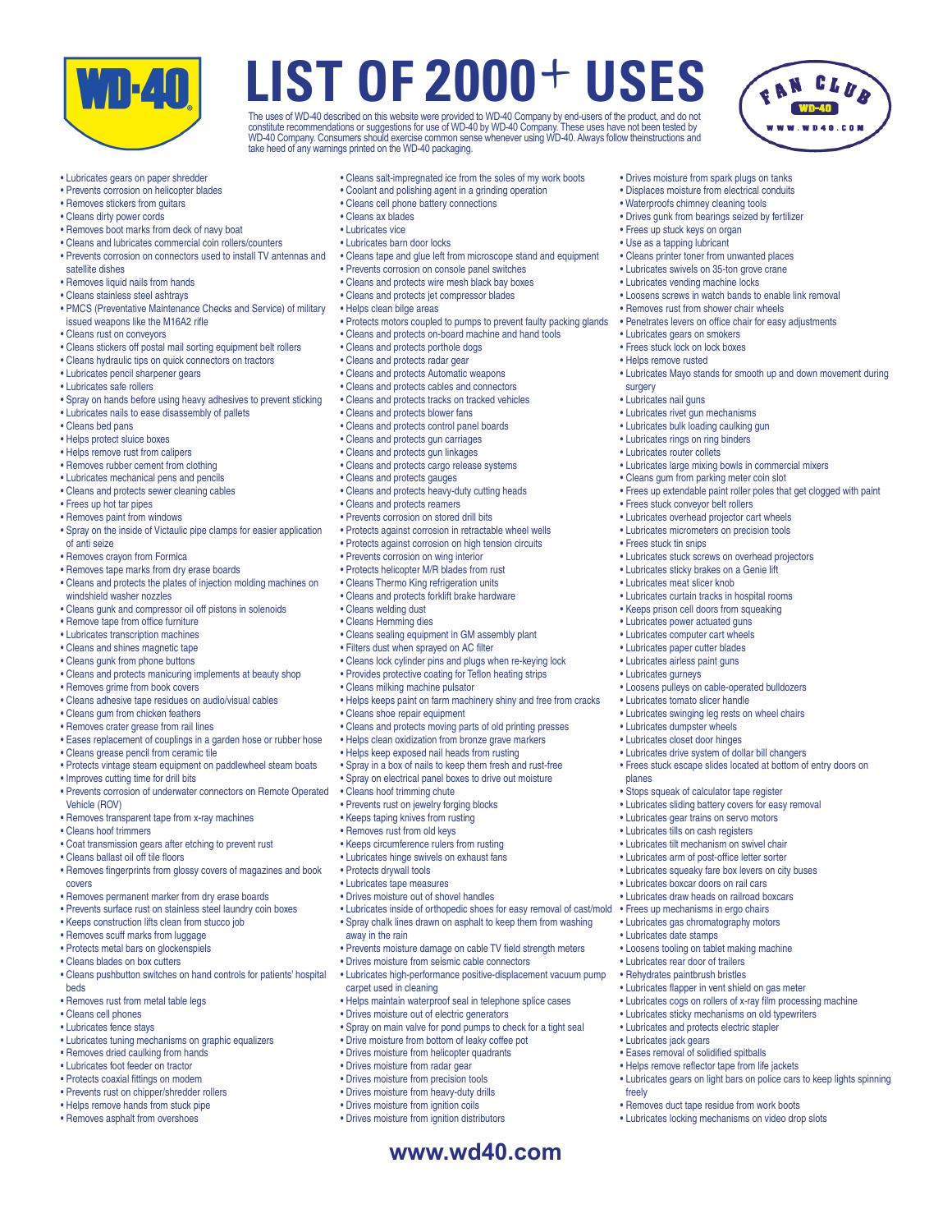

The uses of WD-40 described on this website were provided to WD-40 Company by end-users of the product, and do not<br>constitute recommendations or suggestions for use of WD-40 by WD-40 Company. These uses have not been teste take heed of any warnings printed on the WD-40 packaging.

> • Drives moisture from spark plugs on tanks • Displaces moisture from electrical conduits • Waterproofs chimney cleaning tools • Drives gunk from bearings seized by fertilizer

• Cleans printer toner from unwanted places • Lubricates swivels on 35-ton grove crane • Lubricates vending machine locks

• Loosens screws in watch bands to enable link removal • Removes rust from shower chair wheels • Penetrates levers on office chair for easy adjustments

• Lubricates large mixing bowls in commercial mixers • Cleans gum from parking meter coin slot

• Lubricates stuck screws on overhead projectors • Lubricates sticky brakes on a Genie lift • Lubricates meat slicer knob

• Lubricates curtain tracks in hospital rooms • Keeps prison cell doors from squeaking • Lubricates power actuated guns • Lubricates computer cart wheels • Lubricates paper cutter blades • Lubricates airless paint guns • Lubricates gurneys

• Loosens pulleys on cable-operated bulldozers

• Lubricates swinging leg rests on wheel chairs

• Lubricates drive system of dollar bill changers

• Stops squeak of calculator tape register • Lubricates sliding battery covers for easy removal • Lubricates gear trains on servo motors • Lubricates tills on cash registers • Lubricates tilt mechanism on swivel chair • Lubricates arm of post-office letter sorter • Lubricates squeaky fare box levers on city buses • Lubricates boxcar doors on rail cars • Lubricates draw heads on railroad boxcars • Frees up mechanisms in ergo chairs • Lubricates gas chromatography motors

• Loosens tooling on tablet making machine • Lubricates rear door of trailers • Rehydrates paintbrush bristles

• Lubricates flapper in vent shield on gas meter • Lubricates cogs on rollers of x-ray film processing machine • Lubricates sticky mechanisms on old typewriters • Lubricates and protects electric stapler

• Removes duct tape residue from work boots • Lubricates locking mechanisms on video drop slots

• Lubricates gears on light bars on police cars to keep lights spinning

• Frees stuck escape slides located at bottom of entry doors on

• Lubricates tomato slicer handle

• Lubricates dumpster wheels • Lubricates closet door hinges

• Lubricates date stamps

• Lubricates jack gears • Eases removal of solidified spitballs • Helps remove reflector tape from life jackets

freely

planes

• Lubricates Mayo stands for smooth up and down movement during

• Frees up extendable paint roller poles that get clogged with paint

• Frees up stuck keys on organ • Use as a tapping lubricant

• Lubricates gears on smokers • Frees stuck lock on lock boxes • Helps remove rusted

• Frees stuck conveyor belt rollers • Lubricates overhead projector cart wheels • Lubricates micrometers on precision tools

• Frees stuck tin snips

surgery • Lubricates nail guns • Lubricates rivet gun mechanisms • Lubricates bulk loading caulking gun • Lubricates rings on ring binders • Lubricates router collets

- Lubricates gears on paper shredder
- Prevents corrosion on helicopter blades
- Removes stickers from guitars
- Cleans dirty power cords
- Removes boot marks from deck of navy boat
- Cleans and lubricates commercial coin rollers/counters
- Prevents corrosion on connectors used to install TV antennas and satellite dishes
- Removes liquid nails from hands
- Cleans stainless steel ashtrays
- PMCS (Preventative Maintenance Checks and Service) of military issued weapons like the M16A2 rifle
- Cleans rust on conveyors
- Cleans stickers off postal mail sorting equipment belt rollers
- Cleans hydraulic tips on quick connectors on tractors
- Lubricates pencil sharpener gears
- Lubricates safe rollers
- Spray on hands before using heavy adhesives to prevent sticking
- Lubricates nails to ease disassembly of pallets
- Cleans bed pans
- Helps protect sluice boxes
- Helps remove rust from calipers
- Removes rubber cement from clothing
- Lubricates mechanical pens and pencils
- Cleans and protects sewer cleaning cables
- Frees up hot tar pipes
- Removes paint from windows
- Spray on the inside of Victaulic pipe clamps for easier application of anti seize
- Removes crayon from Formica
- Removes tape marks from dry erase boards
- Cleans and protects the plates of injection molding machines on windshield washer nozzles
- Cleans gunk and compressor oil off pistons in solenoids
- Remove tape from office furniture
- Lubricates transcription machines
- Cleans and shines magnetic tape
- Cleans gunk from phone buttons
- Cleans and protects manicuring implements at beauty shop
- Removes grime from book covers
- Cleans adhesive tape residues on audio/visual cables
- Cleans gum from chicken feathers
- Removes crater grease from rail lines
- 
- Eases replacement of couplings in a garden hose or rubber hose
- Cleans grease pencil from ceramic tile
- Protects vintage steam equipment on paddlewheel steam boats
- Improves cutting time for drill bits
- Prevents corrosion of underwater connectors on Remote Operated Vehicle (ROV)
- Removes transparent tape from x-ray machines
- Cleans hoof trimmers
- Coat transmission gears after etching to prevent rust
- Cleans ballast oil off tile floors
- Removes fingerprints from glossy covers of magazines and book covers
- Removes permanent marker from dry erase boards
- Prevents surface rust on stainless steel laundry coin boxes
- 
- Keeps construction lifts clean from stucco job
- Removes scuff marks from luggage
- Protects metal bars on glockenspiels
- Cleans blades on box cutters
- Cleans pushbutton switches on hand controls for patients' hospital beds
- Removes rust from metal table legs
- Cleans cell phones
- Lubricates fence stays
- Lubricates tuning mechanisms on graphic equalizers
- Removes dried caulking from hands
- Lubricates foot feeder on tractor
- Protects coaxial fittings on modem
- Prevents rust on chipper/shredder rollers
- Helps remove hands from stuck pipe
- Removes asphalt from overshoes
- Cleans salt-impregnated ice from the soles of my work boots
- Coolant and polishing agent in a grinding operation
- Cleans cell phone battery connections
- Cleans ax blades
- Lubricates vice
- Lubricates barn door locks
- Cleans tape and glue left from microscope stand and equipment
- Prevents corrosion on console panel switches
- Cleans and protects wire mesh black bay boxes
- Cleans and protects jet compressor blades
- Helps clean bilge areas
- Protects motors coupled to pumps to prevent faulty packing glands
- Cleans and protects on-board machine and hand tools
- Cleans and protects porthole dogs
- Cleans and protects radar gear
- Cleans and protects Automatic weapons
- Cleans and protects cables and connectors
- Cleans and protects tracks on tracked vehicles
- Cleans and protects blower fans
- Cleans and protects control panel boards
- Cleans and protects gun carriages
- Cleans and protects gun linkages
- Cleans and protects cargo release systems
- Cleans and protects gauges
- Cleans and protects heavy-duty cutting heads
- Cleans and protects reamers
- Prevents corrosion on stored drill bits

• Prevents corrosion on wing interior • Protects helicopter M/R blades from rust • Cleans Thermo King refrigeration units • Cleans and protects forklift brake hardware

• Cleans milking machine pulsator

• Cleans shoe repair equipment

• Cleans hoof trimming chute • Prevents rust on jewelry forging blocks • Keeps taping knives from rusting • Removes rust from old keys • Keeps circumference rulers from rusting • Lubricates hinge swivels on exhaust fans

• Protects drywall tools • Lubricates tape measures • Drives moisture out of shovel handles

away in the rain

carpet used in cleaning

• Cleans welding dust • Cleans Hemming dies

- Protects against corrosion in retractable wheel wells
- Protects against corrosion on high tension circuits

• Cleans sealing equipment in GM assembly plant • Filters dust when sprayed on AC filter

• Cleans lock cylinder pins and plugs when re-keying lock • Provides protective coating for Teflon heating strips

• Cleans and protects moving parts of old printing presses • Helps clean oxidization from bronze grave markers • Helps keep exposed nail heads from rusting • Spray in a box of nails to keep them fresh and rust-free • Spray on electrical panel boxes to drive out moisture

• Helps keeps paint on farm machinery shiny and free from cracks

• Lubricates inside of orthopedic shoes for easy removal of cast/mold • Spray chalk lines drawn on asphalt to keep them from washing

• Prevents moisture damage on cable TV field strength meters • Drives moisture from seismic cable connectors

• Helps maintain waterproof seal in telephone splice cases

• Spray on main valve for pond pumps to check for a tight seal • Drive moisture from bottom of leaky coffee pot • Drives moisture from helicopter quadrants • Drives moisture from radar gear • Drives moisture from precision tools • Drives moisture from heavy-duty drills • Drives moisture from ignition coils • Drives moisture from ignition distributors

• Drives moisture out of electric generators

• Lubricates high-performance positive-displacement vacuum pump

**www.wd40.com**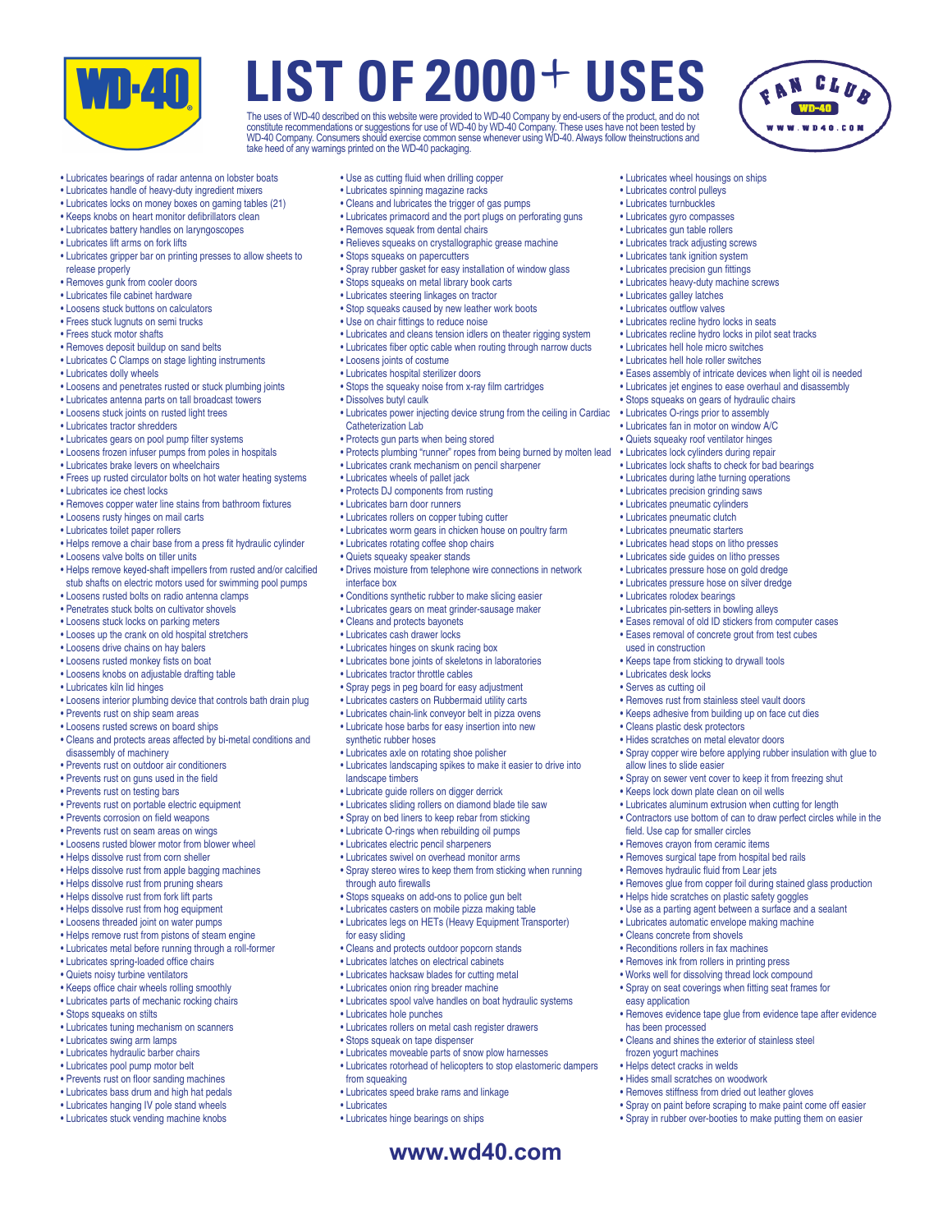

The uses of WD-40 described on this website were provided to WD-40 Company by end-users of the product, and do not<br>constitute recommendations or suggestions for use of WD-40 by WD-40 Company. These uses have not been teste take heed of any warnings printed on the WD-40 packaging.



• Lubricates wheel housings on ships • Lubricates control pulleys • Lubricates turnbuckles • Lubricates gyro compasses • Lubricates gun table rollers • Lubricates track adjusting screws • Lubricates tank ignition system • Lubricates precision gun fittings • Lubricates heavy-duty machine screws • Lubricates galley latches • Lubricates outflow valves • Lubricates recline hydro locks in seats • Lubricates recline hydro locks in pilot seat tracks • Lubricates hell hole micro switches • Lubricates hell hole roller switches

• Eases assembly of intricate devices when light oil is needed • Lubricates jet engines to ease overhaul and disassembly • Stops squeaks on gears of hydraulic chairs • Lubricates O-rings prior to assembly • Lubricates fan in motor on window A/C • Quiets squeaky roof ventilator hinges • Lubricates lock cylinders during repair • Lubricates lock shafts to check for bad bearings • Lubricates during lathe turning operations • Lubricates precision grinding saws • Lubricates pneumatic cylinders • Lubricates pneumatic clutch • Lubricates pneumatic starters • Lubricates head stops on litho presses • Lubricates side guides on litho presses • Lubricates pressure hose on gold dredge • Lubricates pressure hose on silver dredge • Lubricates rolodex bearings • Lubricates pin-setters in bowling alleys

• Eases removal of old ID stickers from computer cases • Eases removal of concrete grout from test cubes

• Spray copper wire before applying rubber insulation with glue to

• Removes glue from copper foil during stained glass production

• Removes evidence tape glue from evidence tape after evidence

• Spray on sewer vent cover to keep it from freezing shut

• Keeps tape from sticking to drywall tools

• Keeps lock down plate clean on oil wells • Lubricates aluminum extrusion when cutting for length • Contractors use bottom of can to draw perfect circles while in the

• Helps hide scratches on plastic safety goggles • Use as a parting agent between a surface and a sealant • Lubricates automatic envelope making machine

• Cleans and shines the exterior of stainless steel

field. Use cap for smaller circles • Removes crayon from ceramic items • Removes surgical tape from hospital bed rails • Removes hydraulic fluid from Lear jets

• Cleans concrete from shovels • Reconditions rollers in fax machines • Removes ink from rollers in printing press • Works well for dissolving thread lock compound • Spray on seat coverings when fitting seat frames for

easy application

has been processed

frozen yogurt machines • Helps detect cracks in welds • Hides small scratches on woodwork • Removes stiffness from dried out leather gloves • Spray on paint before scraping to make paint come off easier • Spray in rubber over-booties to make putting them on easier

• Removes rust from stainless steel vault doors • Keeps adhesive from building up on face cut dies

used in construction

• Lubricates desk locks • Serves as cutting oil

• Cleans plastic desk protectors • Hides scratches on metal elevator doors

allow lines to slide easier

- Lubricates bearings of radar antenna on lobster boats
- Lubricates handle of heavy-duty ingredient mixers
- Lubricates locks on money boxes on gaming tables (21)
- Keeps knobs on heart monitor defibrillators clean
- Lubricates battery handles on laryngoscopes
- Lubricates lift arms on fork lifts
- Lubricates gripper bar on printing presses to allow sheets to release properly
- Removes gunk from cooler doors
- Lubricates file cabinet hardware
- Loosens stuck buttons on calculators
- Frees stuck lugnuts on semi trucks
- Frees stuck motor shafts
- 
- Removes deposit buildup on sand belts
- Lubricates C Clamps on stage lighting instruments
- Lubricates dolly wheels
- Loosens and penetrates rusted or stuck plumbing joints
- Lubricates antenna parts on tall broadcast towers
- Loosens stuck joints on rusted light trees
- Lubricates tractor shredders
- Lubricates gears on pool pump filter systems
- Loosens frozen infuser pumps from poles in hospitals
- Lubricates brake levers on wheelchairs
- Frees up rusted circulator bolts on hot water heating systems
- Lubricates ice chest locks
- Removes copper water line stains from bathroom fixtures
- Loosens rusty hinges on mail carts
- Lubricates toilet paper rollers
- Helps remove a chair base from a press fit hydraulic cylinder • Loosens valve bolts on tiller units
- Helps remove keyed-shaft impellers from rusted and/or calcified
- stub shafts on electric motors used for swimming pool pumps • Loosens rusted bolts on radio antenna clamps
- Penetrates stuck bolts on cultivator shovels
- Loosens stuck locks on parking meters
- Looses up the crank on old hospital stretchers
- Loosens drive chains on hay balers
- Loosens rusted monkey fists on boat
- Loosens knobs on adjustable drafting table
- Lubricates kiln lid hinges
- Loosens interior plumbing device that controls bath drain plug
- Prevents rust on ship seam areas
- Loosens rusted screws on board ships
- Cleans and protects areas affected by bi-metal conditions and disassembly of machinery
- Prevents rust on outdoor air conditioners
- Prevents rust on guns used in the field
- Prevents rust on testing bars
- Prevents rust on portable electric equipment
- Prevents corrosion on field weapons
- Prevents rust on seam areas on wings
- Loosens rusted blower motor from blower wheel
- 
- Helps dissolve rust from corn sheller
- Helps dissolve rust from apple bagging machines
- Helps dissolve rust from pruning shears
- Helps dissolve rust from fork lift parts
- Helps dissolve rust from hog equipment
- Loosens threaded joint on water pumps
- Helps remove rust from pistons of steam engine
- Lubricates metal before running through a roll-former
- Lubricates spring-loaded office chairs
- 
- Quiets noisy turbine ventilators
- Keeps office chair wheels rolling smoothly
- Lubricates parts of mechanic rocking chairs
- Stops squeaks on stilts
- Lubricates tuning mechanism on scanners
- Lubricates swing arm lamps
- Lubricates hydraulic barber chairs
- Lubricates pool pump motor belt
- Prevents rust on floor sanding machines
- Lubricates bass drum and high hat pedals
- Lubricates hanging IV pole stand wheels
- Lubricates stuck vending machine knobs
- Use as cutting fluid when drilling copper
- Lubricates spinning magazine racks
- Cleans and lubricates the trigger of gas pumps
- Lubricates primacord and the port plugs on perforating guns
- Removes squeak from dental chairs
- Relieves squeaks on crystallographic grease machine
- Stops squeaks on papercutters
- Spray rubber gasket for easy installation of window glass
- Stops squeaks on metal library book carts
- Lubricates steering linkages on tractor
- Stop squeaks caused by new leather work boots
- Use on chair fittings to reduce noise
- Lubricates and cleans tension idlers on theater rigging system
- Lubricates fiber optic cable when routing through narrow ducts
- Loosens joints of costume
- Lubricates hospital sterilizer doors
- Stops the squeaky noise from x-ray film cartridges
- Dissolves butyl caulk

interface box

• Lubricates power injecting device strung from the ceiling in Cardiac Catheterization Lab

**www.wd40.com**

- Protects gun parts when being stored
- Protects plumbing "runner" ropes from being burned by molten lead
- Lubricates crank mechanism on pencil sharpener

• Lubricates worm gears in chicken house on poultry farm

• Drives moisture from telephone wire connections in network

• Lubricates landscaping spikes to make it easier to drive into

• Spray stereo wires to keep them from sticking when running

• Lubricates spool valve handles on boat hydraulic systems

• Lubricates rollers on metal cash register drawers

• Lubricates moveable parts of snow plow harnesses • Lubricates rotorhead of helicopters to stop elastomeric dampers

• Conditions synthetic rubber to make slicing easier • Lubricates gears on meat grinder-sausage maker

- Lubricates wheels of pallet jack • Lubricates barn door runners
- Protects DJ components from rusting

• Lubricates rollers on copper tubing cutter

• Lubricates rotating coffee shop chairs • Quiets squeaky speaker stands

• Cleans and protects bayonets • Lubricates cash drawer locks • Lubricates hinges on skunk racing box • Lubricates bone joints of skeletons in laboratories

• Lubricates tractor throttle cables • Spray pegs in peg board for easy adjustment • Lubricates casters on Rubbermaid utility carts • Lubricates chain-link conveyor belt in pizza ovens • Lubricate hose barbs for easy insertion into new

• Lubricates axle on rotating shoe polisher

• Lubricate guide rollers on digger derrick • Lubricates sliding rollers on diamond blade tile saw • Spray on bed liners to keep rebar from sticking • Lubricate O-rings when rebuilding oil pumps • Lubricates electric pencil sharpeners • Lubricates swivel on overhead monitor arms

• Stops squeaks on add-ons to police gun belt • Lubricates casters on mobile pizza making table • Lubricates legs on HETs (Heavy Equipment Transporter)

• Cleans and protects outdoor popcorn stands • Lubricates latches on electrical cabinets • Lubricates hacksaw blades for cutting metal • Lubricates onion ring breader machine

synthetic rubber hoses

landscape timbers

through auto firewalls

• Lubricates hole punches

from squeaking

• Lubricates

• Stops squeak on tape dispenser

• Lubricates speed brake rams and linkage

• Lubricates hinge bearings on ships

for easy sliding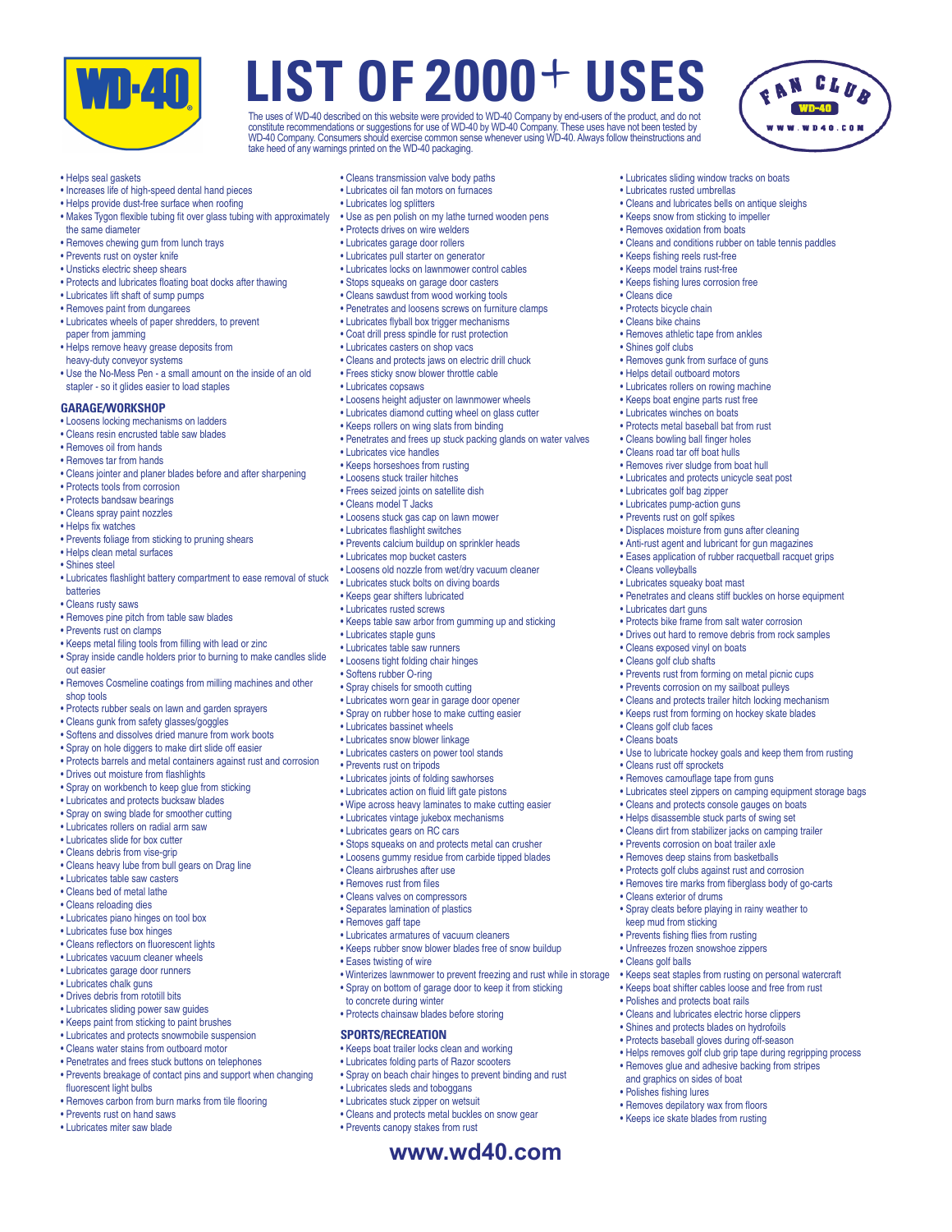

The uses of WD-40 described on this website were provided to WD-40 Company by end-users of the product, and do not<br>constitute recommendations or suggestions for use of WD-40 by WD-40 Company. These uses have not been teste take heed of any warnings printed on the WD-40 packaging.



• Lubricates sliding window tracks on boats • Lubricates rusted umbrellas

• Keeps fishing reels rust-free • Keeps model trains rust-free • Keeps fishing lures corrosion free

• Removes athletic tape from ankles

• Removes gunk from surface of guns • Helps detail outboard motors • Lubricates rollers on rowing machine • Keeps boat engine parts rust free • Lubricates winches on boats • Protects metal baseball bat from rust • Cleans bowling ball finger holes • Cleans road tar off boat hulls • Removes river sludge from boat hull • Lubricates and protects unicycle seat post

• Lubricates golf bag zipper • Lubricates pump-action guns • Prevents rust on golf spikes

• Cleans volleyballs • Lubricates squeaky boat mast

• Lubricates dart guns

• Cleans golf club faces • Cleans boats

• Cleans rust off sprockets • Removes camouflage tape from guns

• Cleans exterior of drums

keep mud from sticking • Prevents fishing flies from rusting • Unfreezes frozen snowshoe zippers

• Polishes and protects boat rails • Cleans and lubricates electric horse clippers • Shines and protects blades on hydrofoils • Protects baseball gloves during off-season

and graphics on sides of boat • Polishes fishing lures

• Removes depilatory wax from floors • Keeps ice skate blades from rusting

• Cleans golf balls

• Cleans exposed vinyl on boats • Cleans golf club shafts

• Displaces moisture from guns after cleaning • Anti-rust agent and lubricant for gun magazines • Eases application of rubber racquetball racquet grips

• Protects bike frame from salt water corrosion • Drives out hard to remove debris from rock samples

• Prevents rust from forming on metal picnic cups • Prevents corrosion on my sailboat pulleys • Cleans and protects trailer hitch locking mechanism • Keeps rust from forming on hockey skate blades

• Cleans and protects console gauges on boats • Helps disassemble stuck parts of swing set • Cleans dirt from stabilizer jacks on camping trailer • Prevents corrosion on boat trailer axle • Removes deep stains from basketballs • Protects golf clubs against rust and corrosion • Removes tire marks from fiberglass body of go-carts

• Spray cleats before playing in rainy weather to

• Keeps seat staples from rusting on personal watercraft • Keeps boat shifter cables loose and free from rust

• Helps removes golf club grip tape during regripping process • Removes glue and adhesive backing from stripes

• Use to lubricate hockey goals and keep them from rusting

• Lubricates steel zippers on camping equipment storage bags

• Penetrates and cleans stiff buckles on horse equipment

• Cleans dice • Protects bicycle chain • Cleans bike chains

• Shines golf clubs

• Cleans and lubricates bells on antique sleighs • Keeps snow from sticking to impeller • Removes oxidation from boats

• Cleans and conditions rubber on table tennis paddles

#### • Helps seal gaskets

- Increases life of high-speed dental hand pieces
- Helps provide dust-free surface when roofing
- Makes Tygon flexible tubing fit over glass tubing with approximately the same diameter
- Removes chewing gum from lunch trays
- Prevents rust on oyster knife
- Unsticks electric sheep shears
- Protects and lubricates floating boat docks after thawing
- Lubricates lift shaft of sump pumps
- Removes paint from dungarees
- Lubricates wheels of paper shredders, to prevent
- paper from jamming • Helps remove heavy grease deposits from
- heavy-duty conveyor systems
- Use the No-Mess Pen a small amount on the inside of an old stapler - so it glides easier to load staples

### **GARAGE/WORKSHOP**

### • Loosens locking mechanisms on ladders

- Cleans resin encrusted table saw blades
- Removes oil from hands
- Removes tar from hands
- Cleans jointer and planer blades before and after sharpening
- Protects tools from corrosion
- Protects bandsaw bearings
- Cleans spray paint nozzles
- Helps fix watches
- Prevents foliage from sticking to pruning shears
- Helps clean metal surfaces
- Shines steel
- Lubricates flashlight battery compartment to ease removal of stuck batteries
- Cleans rusty saws
- Removes pine pitch from table saw blades
- Prevents rust on clamps
- Keeps metal filing tools from filling with lead or zinc
- Spray inside candle holders prior to burning to make candles slide out easier
- Removes Cosmeline coatings from milling machines and other shop tools
- Protects rubber seals on lawn and garden sprayers
- Cleans gunk from safety glasses/goggles
- Softens and dissolves dried manure from work boots
- Spray on hole diggers to make dirt slide off easier
- Protects barrels and metal containers against rust and corrosion
- Drives out moisture from flashlights
- Spray on workbench to keep glue from sticking
- Lubricates and protects bucksaw blades
- Spray on swing blade for smoother cutting
- Lubricates rollers on radial arm saw
- Lubricates slide for box cutter
- Cleans debris from vise-grip
- Cleans heavy lube from bull gears on Drag line
- Lubricates table saw casters
- Cleans bed of metal lathe
- Cleans reloading dies
- Lubricates piano hinges on tool box
- Lubricates fuse box hinges
- Cleans reflectors on fluorescent lights
- Lubricates vacuum cleaner wheels
- Lubricates garage door runners
- Lubricates chalk guns
- Drives debris from rototill bits
- Lubricates sliding power saw guides
- Keeps paint from sticking to paint brushes
- Lubricates and protects snowmobile suspension
- Cleans water stains from outboard motor
- Penetrates and frees stuck buttons on telephones
- 
- Prevents breakage of contact pins and support when changing
- fluorescent light bulbs • Removes carbon from burn marks from tile flooring
- Prevents rust on hand saws
- Lubricates miter saw blade
- Cleans transmission valve body paths
- Lubricates oil fan motors on furnaces
- Lubricates log splitters
- Use as pen polish on my lathe turned wooden pens
- Protects drives on wire welders
- Lubricates garage door rollers • Lubricates pull starter on generator
- Lubricates locks on lawnmower control cables
- Stops squeaks on garage door casters
- Cleans sawdust from wood working tools
- Penetrates and loosens screws on furniture clamps
- Lubricates flyball box trigger mechanisms
- Coat drill press spindle for rust protection
- Lubricates casters on shop vacs
- 
- Cleans and protects jaws on electric drill chuck
- Frees sticky snow blower throttle cable
- Lubricates copsaws
- Loosens height adjuster on lawnmower wheels
- Lubricates diamond cutting wheel on glass cutter
- Keeps rollers on wing slats from binding
- Penetrates and frees up stuck packing glands on water valves

**www.wd40.com**

• Winterizes lawnmower to prevent freezing and rust while in storage • Spray on bottom of garage door to keep it from sticking

- Lubricates vice handles
- Keeps horseshoes from rusting
- Loosens stuck trailer hitches

• Lubricates mop bucket casters

- Frees seized joints on satellite dish
- Cleans model T Jacks

• Lubricates staple guns • Lubricates table saw runners • Loosens tight folding chair hinges • Softens rubber O-ring • Spray chisels for smooth cutting • Lubricates worn gear in garage door opener • Spray on rubber hose to make cutting easier

• Lubricates bassinet wheels • Lubricates snow blower linkage • Lubricates casters on power tool stands

• Prevents rust on tripods • Lubricates joints of folding sawhorses • Lubricates action on fluid lift gate pistons • Wipe across heavy laminates to make cutting easier • Lubricates vintage jukebox mechanisms • Lubricates gears on RC cars

• Cleans airbrushes after use • Removes rust from files • Cleans valves on compressors • Separates lamination of plastics • Removes gaff tape

• Eases twisting of wire

to concrete during winter • Protects chainsaw blades before storing

**SPORTS/RECREATION**

• Lubricates sleds and toboggans • Lubricates stuck zipper on wetsuit • Cleans and protects metal buckles on snow gear

• Prevents canopy stakes from rust

- Loosens stuck gas cap on lawn mower
- Lubricates flashlight switches
- Prevents calcium buildup on sprinkler heads

• Loosens old nozzle from wet/dry vacuum cleaner • Lubricates stuck bolts on diving boards • Keeps gear shifters lubricated • Lubricates rusted screws

• Keeps table saw arbor from gumming up and sticking

• Stops squeaks on and protects metal can crusher • Loosens gummy residue from carbide tipped blades

• Lubricates armatures of vacuum cleaners • Keeps rubber snow blower blades free of snow buildup

• Keeps boat trailer locks clean and working • Lubricates folding parts of Razor scooters • Spray on beach chair hinges to prevent binding and rust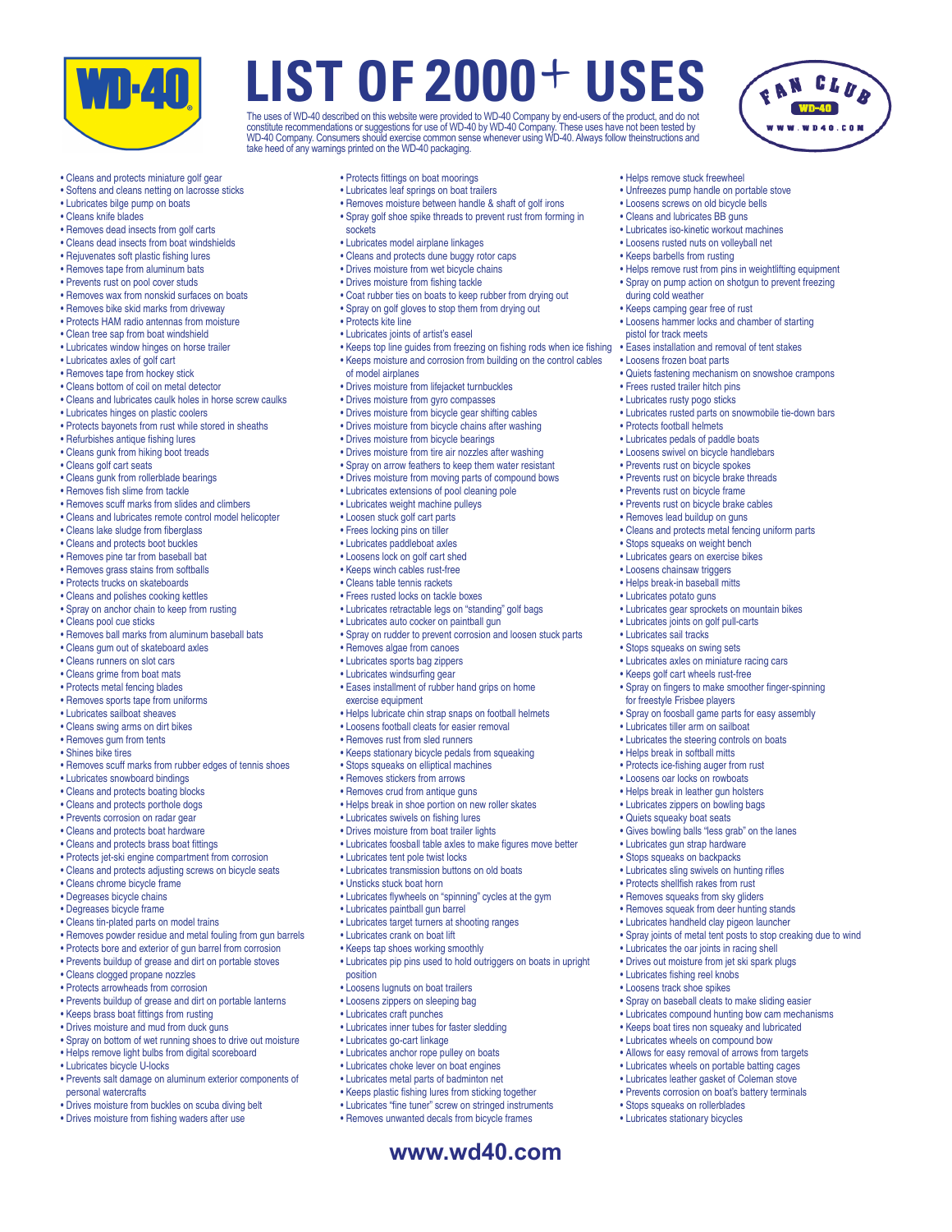

The uses of WD-40 described on this website were provided to WD-40 Company by end-users of the product, and do not<br>constitute recommendations or suggestions for use of WD-40 by WD-40 Company. These uses have not been teste take heed of any warnings printed on the WD-40 packaging.

> • Helps remove stuck freewheel • Unfreezes pump handle on portable stove • Loosens screws on old bicycle bells • Cleans and lubricates BB guns • Lubricates iso-kinetic workout machines • Loosens rusted nuts on volleyball net • Keeps barbells from rusting

during cold weather • Keeps camping gear free of rust

pistol for track meets

• Loosens frozen boat parts

• Protects football helmets • Lubricates pedals of paddle boats • Loosens swivel on bicycle handlebars • Prevents rust on bicycle spokes • Prevents rust on bicycle brake threads • Prevents rust on bicycle frame • Prevents rust on bicycle brake cables • Removes lead buildup on guns

• Frees rusted trailer hitch pins • Lubricates rusty pogo sticks

• Helps remove rust from pins in weightlifting equipment • Spray on pump action on shotgun to prevent freezing

• Loosens hammer locks and chamber of starting

• Quiets fastening mechanism on snowshoe crampons

• Lubricates rusted parts on snowmobile tie-down bars

• Cleans and protects metal fencing uniform parts

• Lubricates gear sprockets on mountain bikes • Lubricates joints on golf pull-carts • Lubricates sail tracks • Stops squeaks on swing sets • Lubricates axles on miniature racing cars • Keeps golf cart wheels rust-free

• Spray on fingers to make smoother finger-spinning

• Spray on foosball game parts for easy assembly

• Gives bowling balls "less grab" on the lanes • Lubricates gun strap hardware • Stops squeaks on backpacks • Lubricates sling swivels on hunting rifles • Protects shellfish rakes from rust • Removes squeaks from sky gliders • Removes squeak from deer hunting stands • Lubricates handheld clay pigeon launcher

• Lubricates the oar joints in racing shell • Drives out moisture from jet ski spark plugs

• Spray on baseball cleats to make sliding easier • Lubricates compound hunting bow cam mechanisms • Keeps boat tires non squeaky and lubricated • Lubricates wheels on compound bow • Allows for easy removal of arrows from targets • Lubricates wheels on portable batting cages • Lubricates leather gasket of Coleman stove • Prevents corrosion on boat's battery terminals

• Lubricates fishing reel knobs • Loosens track shoe spikes

• Stops squeaks on rollerblades • Lubricates stationary bicycles

• Spray joints of metal tent posts to stop creaking due to wind

• Stops squeaks on weight bench • Lubricates gears on exercise bikes • Loosens chainsaw triggers • Helps break-in baseball mitts • Lubricates potato guns

for freestyle Frisbee players

• Lubricates tiller arm on sailboat • Lubricates the steering controls on boats • Helps break in softball mitts • Protects ice-fishing auger from rust • Loosens oar locks on rowboats • Helps break in leather gun holsters • Lubricates zippers on bowling bags • Quiets squeaky boat seats

• Eases installation and removal of tent stakes

- Cleans and protects miniature golf gear
- Softens and cleans netting on lacrosse sticks
- Lubricates bilge pump on boats
- Cleans knife blades
- Removes dead insects from golf carts
- Cleans dead insects from boat windshields
- Rejuvenates soft plastic fishing lures
- Removes tape from aluminum bats
- Prevents rust on pool cover studs
- Removes wax from nonskid surfaces on boats
- Removes bike skid marks from driveway
- Protects HAM radio antennas from moisture
- Clean tree sap from boat windshield
- Lubricates window hinges on horse trailer
- Lubricates axles of golf cart
- Removes tape from hockey stick
- Cleans bottom of coil on metal detector
- Cleans and lubricates caulk holes in horse screw caulks
- Lubricates hinges on plastic coolers
- Protects bayonets from rust while stored in sheaths
- Refurbishes antique fishing lures
- Cleans gunk from hiking boot treads
- Cleans golf cart seats
- Cleans gunk from rollerblade bearings
- Removes fish slime from tackle
- Removes scuff marks from slides and climbers
- Cleans and lubricates remote control model helicopter
- Cleans lake sludge from fiberglass
- Cleans and protects boot buckles
- Removes pine tar from baseball bat
- Removes grass stains from softballs
- Protects trucks on skateboards
- Cleans and polishes cooking kettles
- Spray on anchor chain to keep from rusting
- Cleans pool cue sticks
- Removes ball marks from aluminum baseball bats
- Cleans gum out of skateboard axles
- Cleans runners on slot cars
- Cleans grime from boat mats
- Protects metal fencing blades
- Removes sports tape from uniforms
- Lubricates sailboat sheaves
- Cleans swing arms on dirt bikes
- Removes gum from tents
- Shines bike tires
- Removes scuff marks from rubber edges of tennis shoes
- Lubricates snowboard bindings
- Cleans and protects boating blocks
- Cleans and protects porthole dogs
- Prevents corrosion on radar gear
- Cleans and protects boat hardware
- Cleans and protects brass boat fittings
- Protects jet-ski engine compartment from corrosion
- Cleans and protects adjusting screws on bicycle seats
- Cleans chrome bicycle frame
- Degreases bicycle chains
- Degreases bicycle frame
- Cleans tin-plated parts on model trains
- Removes powder residue and metal fouling from gun barrels
- Protects bore and exterior of gun barrel from corrosion
- 
- Prevents buildup of grease and dirt on portable stoves
- Cleans clogged propane nozzles
- Protects arrowheads from corrosion
- Prevents buildup of grease and dirt on portable lanterns
- Keeps brass boat fittings from rusting
- Drives moisture and mud from duck guns
- Spray on bottom of wet running shoes to drive out moisture
- Helps remove light bulbs from digital scoreboard
- Lubricates bicycle U-locks
- Prevents salt damage on aluminum exterior components of personal watercrafts
- Drives moisture from buckles on scuba diving belt
- Drives moisture from fishing waders after use
- Protects fittings on boat moorings
- Lubricates leaf springs on boat trailers
- Removes moisture between handle & shaft of golf irons
- Spray golf shoe spike threads to prevent rust from forming in sockets
- Lubricates model airplane linkages
- Cleans and protects dune buggy rotor caps
- Drives moisture from wet bicycle chains
- Drives moisture from fishing tackle
- Coat rubber ties on boats to keep rubber from drying out
- Spray on golf gloves to stop them from drying out
- Protects kite line
- Lubricates joints of artist's easel
- Keeps top line guides from freezing on fishing rods when ice fishing
- Keeps moisture and corrosion from building on the control cables of model airplanes
- Drives moisture from lifejacket turnbuckles
- Drives moisture from gyro compasses
- Drives moisture from bicycle gear shifting cables
- Drives moisture from bicycle chains after washing
- Drives moisture from bicycle bearings
- Drives moisture from tire air nozzles after washing
- Spray on arrow feathers to keep them water resistant
- Drives moisture from moving parts of compound bows

**www.wd40.com**

• Lubricates extensions of pool cleaning pole

• Lubricates retractable legs on "standing" golf bags • Lubricates auto cocker on paintball gun

• Eases installment of rubber hand grips on home

• Keeps stationary bicycle pedals from squeaking • Stops squeaks on elliptical machines • Removes stickers from arrows • Removes crud from antique guns

• Helps break in shoe portion on new roller skates • Lubricates swivels on fishing lures • Drives moisture from boat trailer lights

• Lubricates tent pole twist locks • Lubricates transmission buttons on old boats

• Lubricates paintball gun barrel • Lubricates target turners at shooting ranges

• Loosens lugnuts on boat trailers • Loosens zippers on sleeping bag • Lubricates craft punches

• Lubricates go-cart linkage • Lubricates anchor rope pulley on boats • Lubricates choke lever on boat engines • Lubricates metal parts of badminton net • Keeps plastic fishing lures from sticking together • Lubricates "fine tuner" screw on stringed instruments • Removes unwanted decals from bicycle frames

• Lubricates inner tubes for faster sledding

• Lubricates crank on boat lift • Keeps tap shoes working smoothly

position

• Unsticks stuck boat horn

• Lubricates foosball table axles to make figures move better

• Lubricates pip pins used to hold outriggers on boats in upright

• Lubricates flywheels on "spinning" cycles at the gym

• Helps lubricate chin strap snaps on football helmets • Loosens football cleats for easier removal • Removes rust from sled runners

• Spray on rudder to prevent corrosion and loosen stuck parts

• Lubricates weight machine pulleys

• Loosen stuck golf cart parts • Frees locking pins on tiller • Lubricates paddleboat axles • Loosens lock on golf cart shed • Keeps winch cables rust-free • Cleans table tennis rackets • Frees rusted locks on tackle boxes

• Removes algae from canoes • Lubricates sports bag zippers • Lubricates windsurfing gear

exercise equipment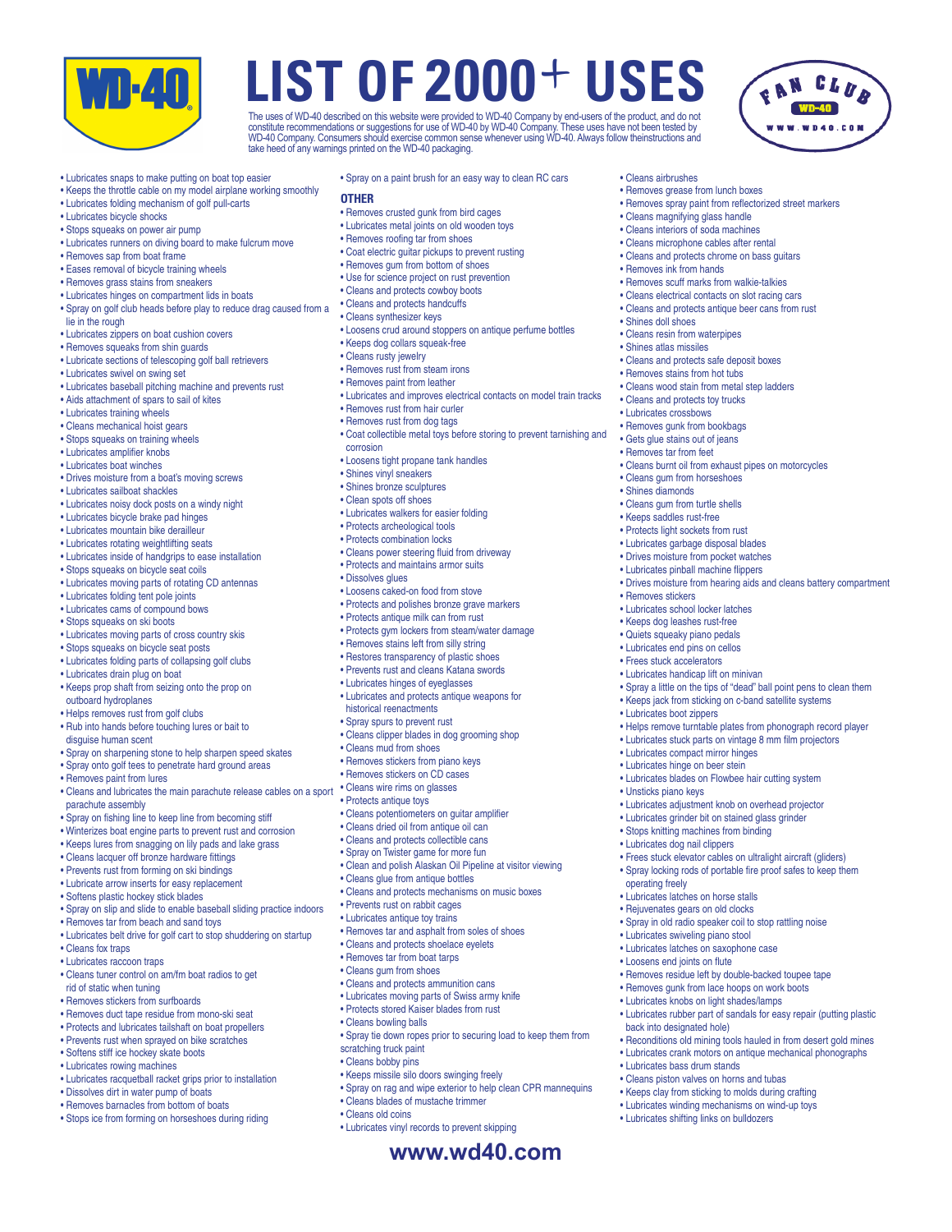

The uses of WD-40 described on this website were provided to WD-40 Company by end-users of the product, and do not<br>constitute recommendations or suggestions for use of WD-40 by WD-40 Company. These uses have not been teste take heed of any warnings printed on the WD-40 packaging.

• Cleans airbrushes

• Removes grease from lunch boxes

• Cleans magnifying glass handle • Cleans interiors of soda machines • Cleans microphone cables after rental • Cleans and protects chrome on bass guitars

• Removes scuff marks from walkie-talkies • Cleans electrical contacts on slot racing cars • Cleans and protects antique beer cans from rust

• Cleans and protects safe deposit boxes • Removes stains from hot tubs • Cleans wood stain from metal step ladders • Cleans and protects toy trucks • Lubricates crossbows • Removes gunk from bookbags • Gets glue stains out of jeans • Removes tar from feet

• Cleans gum from horseshoes • Shines diamonds • Cleans gum from turtle shells • Keeps saddles rust-free • Protects light sockets from rust • Lubricates garbage disposal blades • Drives moisture from pocket watches • Lubricates pinball machine flippers

• Removes stickers

• Lubricates boot zippers

• Unsticks piano keys

operating freely

• Lubricates compact mirror hinges • Lubricates hinge on beer stein

• Lubricates latches on horse stalls • Rejuvenates gears on old clocks

• Lubricates swiveling piano stool • Lubricates latches on saxophone case • Loosens end joints on flute

back into designated hole)

• Lubricates bass drum stands • Cleans piston valves on horns and tubas • Keeps clay from sticking to molds during crafting • Lubricates winding mechanisms on wind-up toys • Lubricates shifting links on bulldozers

• Lubricates school locker latches • Keeps dog leashes rust-free • Quiets squeaky piano pedals • Lubricates end pins on cellos • Frees stuck accelerators • Lubricates handicap lift on minivan

• Cleans burnt oil from exhaust pipes on motorcycles

• Drives moisture from hearing aids and cleans battery compartment

• Spray a little on the tips of "dead" ball point pens to clean them • Keeps jack from sticking on c-band satellite systems

• Helps remove turntable plates from phonograph record player • Lubricates stuck parts on vintage 8 mm film projectors

• Lubricates blades on Flowbee hair cutting system

• Lubricates adjustment knob on overhead projector • Lubricates grinder bit on stained glass grinder • Stops knitting machines from binding • Lubricates dog nail clippers

• Frees stuck elevator cables on ultralight aircraft (gliders) • Spray locking rods of portable fire proof safes to keep them

• Spray in old radio speaker coil to stop rattling noise

• Removes residue left by double-backed toupee tape • Removes gunk from lace hoops on work boots • Lubricates knobs on light shades/lamps

• Lubricates rubber part of sandals for easy repair (putting plastic

• Reconditions old mining tools hauled in from desert gold mines • Lubricates crank motors on antique mechanical phonographs

• Removes ink from hands

• Shines doll shoes • Cleans resin from waterpipes • Shines atlas missiles

• Removes spray paint from reflectorized street markers

- Lubricates snaps to make putting on boat top easier
- Keeps the throttle cable on my model airplane working smoothly
- Lubricates folding mechanism of golf pull-carts
- Lubricates bicycle shocks
- Stops squeaks on power air pump
- Lubricates runners on diving board to make fulcrum move
- Removes sap from boat frame
- Eases removal of bicycle training wheels
- Removes grass stains from sneakers
- Lubricates hinges on compartment lids in boats
- Spray on golf club heads before play to reduce drag caused from a lie in the rough
- Lubricates zippers on boat cushion covers
- Removes squeaks from shin guards
- Lubricate sections of telescoping golf ball retrievers
- Lubricates swivel on swing set
- Lubricates baseball pitching machine and prevents rust
- Aids attachment of spars to sail of kites
- Lubricates training wheels
- Cleans mechanical hoist gears
- Stops squeaks on training wheels
- Lubricates amplifier knobs
- Lubricates boat winches
- Drives moisture from a boat's moving screws
- Lubricates sailboat shackles
- Lubricates noisy dock posts on a windy night
- Lubricates bicycle brake pad hinges
- Lubricates mountain bike derailleur
- Lubricates rotating weightlifting seats
- Lubricates inside of handgrips to ease installation
- Stops squeaks on bicycle seat coils
- Lubricates moving parts of rotating CD antennas
- Lubricates folding tent pole joints
- Lubricates cams of compound bows
- Stops squeaks on ski boots
- Lubricates moving parts of cross country skis
- Stops squeaks on bicycle seat posts
- Lubricates folding parts of collapsing golf clubs
- Lubricates drain plug on boat
- Keeps prop shaft from seizing onto the prop on outboard hydroplanes
- Helps removes rust from golf clubs
- Rub into hands before touching lures or bait to
- disguise human scent
- Spray on sharpening stone to help sharpen speed skates
- Spray onto golf tees to penetrate hard ground areas
- Removes paint from lures
- Cleans and lubricates the main parachute release cables on a sport parachute assembly
- Spray on fishing line to keep line from becoming stiff
- Winterizes boat engine parts to prevent rust and corrosion
- Keeps lures from snagging on lily pads and lake grass
- Cleans lacquer off bronze hardware fittings
- Prevents rust from forming on ski bindings
- Lubricate arrow inserts for easy replacement
- Softens plastic hockey stick blades
- Spray on slip and slide to enable baseball sliding practice indoors
- Removes tar from beach and sand toys
- Lubricates belt drive for golf cart to stop shuddering on startup
- Cleans fox traps
- Lubricates raccoon traps
- Cleans tuner control on am/fm boat radios to get
- rid of static when tuning
- Removes stickers from surfboards
- Removes duct tape residue from mono-ski seat
- Protects and lubricates tailshaft on boat propellers
- Prevents rust when sprayed on bike scratches
- Softens stiff ice hockey skate boots
- Lubricates rowing machines
- Lubricates racquetball racket grips prior to installation
- Dissolves dirt in water pump of boats
- Removes barnacles from bottom of boats
- Stops ice from forming on horseshoes during riding
- Spray on a paint brush for an easy way to clean RC cars
- **OTHER**
- Removes crusted gunk from bird cages
- Lubricates metal joints on old wooden toys
- Removes roofing tar from shoes
- Coat electric guitar pickups to prevent rusting
- Removes gum from bottom of shoes
- Use for science project on rust prevention
- Cleans and protects cowboy boots
- Cleans and protects handcuffs
- Cleans synthesizer keys
- Loosens crud around stoppers on antique perfume bottles
- Keeps dog collars squeak-free
- Cleans rusty jewelry
- Removes rust from steam irons
- Removes paint from leather
- Lubricates and improves electrical contacts on model train tracks
- Removes rust from hair curler
- Removes rust from dog tags
- Coat collectible metal toys before storing to prevent tarnishing and corrosion

**www.wd40.com**

• Spray tie down ropes prior to securing load to keep them from

• Spray on rag and wipe exterior to help clean CPR mannequins

- Loosens tight propane tank handles
- Shines vinyl sneakers
- Shines bronze sculptures
- Clean spots off shoes

• Dissolves glues

• Lubricates walkers for easier folding

• Loosens caked-on food from stove • Protects and polishes bronze grave markers • Protects antique milk can from rust • Protects gym lockers from steam/water damage • Removes stains left from silly string • Restores transparency of plastic shoes • Prevents rust and cleans Katana swords • Lubricates hinges of eyeglasses • Lubricates and protects antique weapons for

• Cleans power steering fluid from driveway • Protects and maintains armor suits

• Cleans clipper blades in dog grooming shop

• Cleans potentiometers on guitar amplifier • Cleans dried oil from antique oil can • Cleans and protects collectible cans • Spray on Twister game for more fun

• Cleans glue from antique bottles

• Prevents rust on rabbit cages • Lubricates antique toy trains

• Cleans bowling balls

scratching truck paint • Cleans bobby pins

• Cleans old coins

• Clean and polish Alaskan Oil Pipeline at visitor viewing

• Cleans and protects mechanisms on music boxes

• Removes tar and asphalt from soles of shoes • Cleans and protects shoelace eyelets • Removes tar from boat tarps • Cleans gum from shoes

• Cleans and protects ammunition cans • Lubricates moving parts of Swiss army knife • Protects stored Kaiser blades from rust

• Keeps missile silo doors swinging freely

• Lubricates vinyl records to prevent skipping

• Cleans blades of mustache trimmer

• Protects archeological tools • Protects combination locks

historical reenactments • Spray spurs to prevent rust

• Cleans mud from shoes • Removes stickers from piano keys • Removes stickers on CD cases • Cleans wire rims on glasses • Protects antique toys